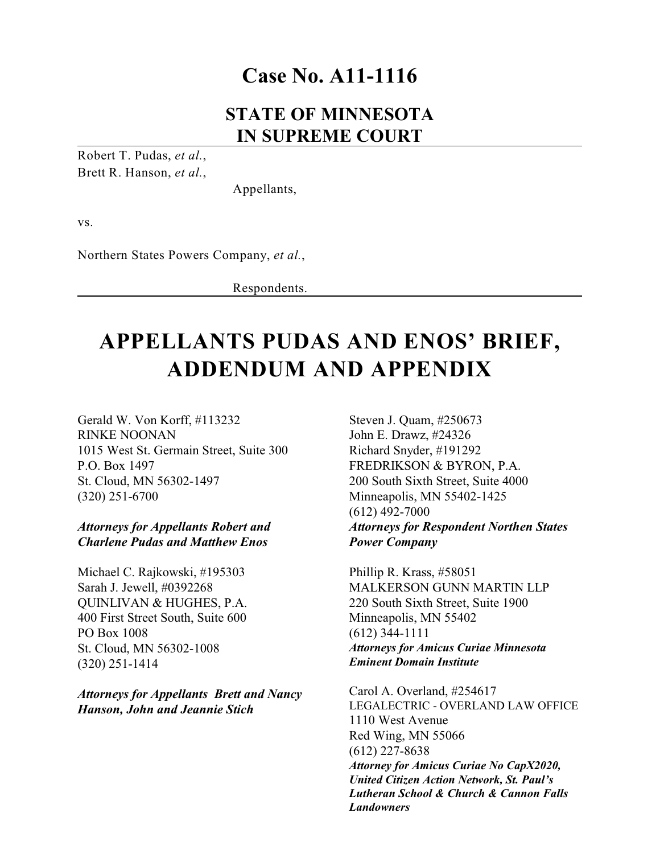# **Case No. A11-1116**

# **STATE OF MINNESOTA IN SUPREME COURT**

Robert T. Pudas, *et al.*, Brett R. Hanson, *et al.*,

Appellants,

vs.

Northern States Powers Company, *et al.*,

Respondents.

# **APPELLANTS PUDAS AND ENOS' BRIEF, ADDENDUM AND APPENDIX**

Gerald W. Von Korff, #113232 RINKE NOONAN 1015 West St. Germain Street, Suite 300 P.O. Box 1497 St. Cloud, MN 56302-1497 (320) 251-6700

#### *Attorneys for Appellants Robert and Charlene Pudas and Matthew Enos*

Michael C. Rajkowski, #195303 Sarah J. Jewell, #0392268 QUINLIVAN & HUGHES, P.A. 400 First Street South, Suite 600 PO Box 1008 St. Cloud, MN 56302-1008 (320) 251-1414

*Attorneys for Appellants Brett and Nancy Hanson, John and Jeannie Stich*

Steven J. Quam, #250673 John E. Drawz, #24326 Richard Snyder, #191292 FREDRIKSON & BYRON, P.A. 200 South Sixth Street, Suite 4000 Minneapolis, MN 55402-1425 (612) 492-7000 *Attorneys for Respondent Northen States Power Company*

Phillip R. Krass, #58051 MALKERSON GUNN MARTIN LLP 220 South Sixth Street, Suite 1900 Minneapolis, MN 55402 (612) 344-1111 *Attorneys for Amicus Curiae Minnesota Eminent Domain Institute*

Carol A. Overland, #254617 LEGALECTRIC - OVERLAND LAW OFFICE 1110 West Avenue Red Wing, MN 55066 (612) 227-8638 *Attorney for Amicus Curiae No CapX2020, United Citizen Action Network, St. Paul's Lutheran School & Church & Cannon Falls Landowners*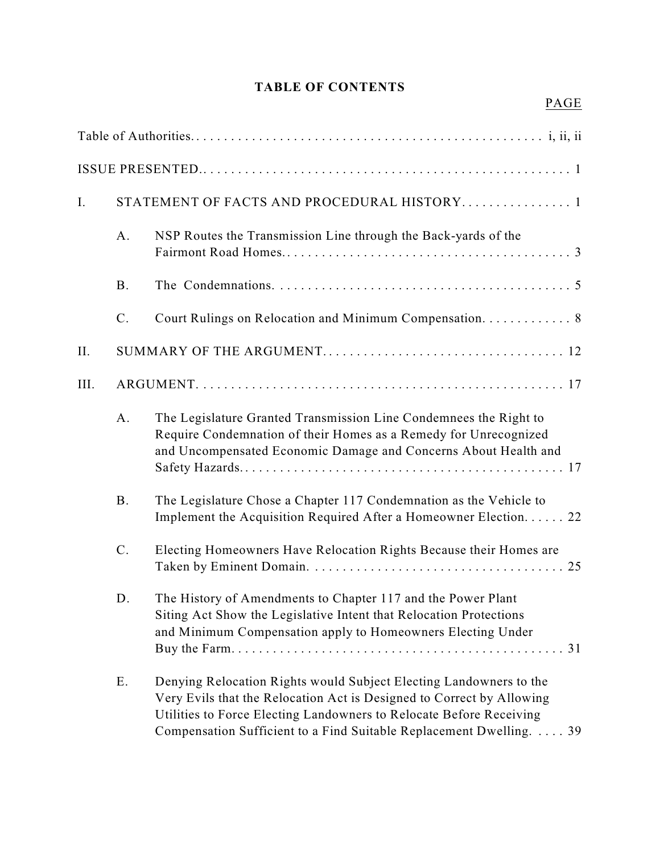# **TABLE OF CONTENTS**

# PAGE

| I.   |           | STATEMENT OF FACTS AND PROCEDURAL HISTORY 1                                                                                                                                                                                                                                                |
|------|-----------|--------------------------------------------------------------------------------------------------------------------------------------------------------------------------------------------------------------------------------------------------------------------------------------------|
|      | A.        | NSP Routes the Transmission Line through the Back-yards of the                                                                                                                                                                                                                             |
|      | <b>B.</b> |                                                                                                                                                                                                                                                                                            |
|      | $C$ .     | Court Rulings on Relocation and Minimum Compensation. 8                                                                                                                                                                                                                                    |
| II.  |           |                                                                                                                                                                                                                                                                                            |
| III. |           |                                                                                                                                                                                                                                                                                            |
|      | A.        | The Legislature Granted Transmission Line Condemnees the Right to<br>Require Condemnation of their Homes as a Remedy for Unrecognized<br>and Uncompensated Economic Damage and Concerns About Health and                                                                                   |
|      | <b>B.</b> | The Legislature Chose a Chapter 117 Condemnation as the Vehicle to<br>Implement the Acquisition Required After a Homeowner Election. 22                                                                                                                                                    |
|      | $C$ .     | Electing Homeowners Have Relocation Rights Because their Homes are                                                                                                                                                                                                                         |
|      | D.        | The History of Amendments to Chapter 117 and the Power Plant<br>Siting Act Show the Legislative Intent that Relocation Protections<br>and Minimum Compensation apply to Homeowners Electing Under                                                                                          |
|      | Ε.        | Denying Relocation Rights would Subject Electing Landowners to the<br>Very Evils that the Relocation Act is Designed to Correct by Allowing<br>Utilities to Force Electing Landowners to Relocate Before Receiving<br>Compensation Sufficient to a Find Suitable Replacement Dwelling.  39 |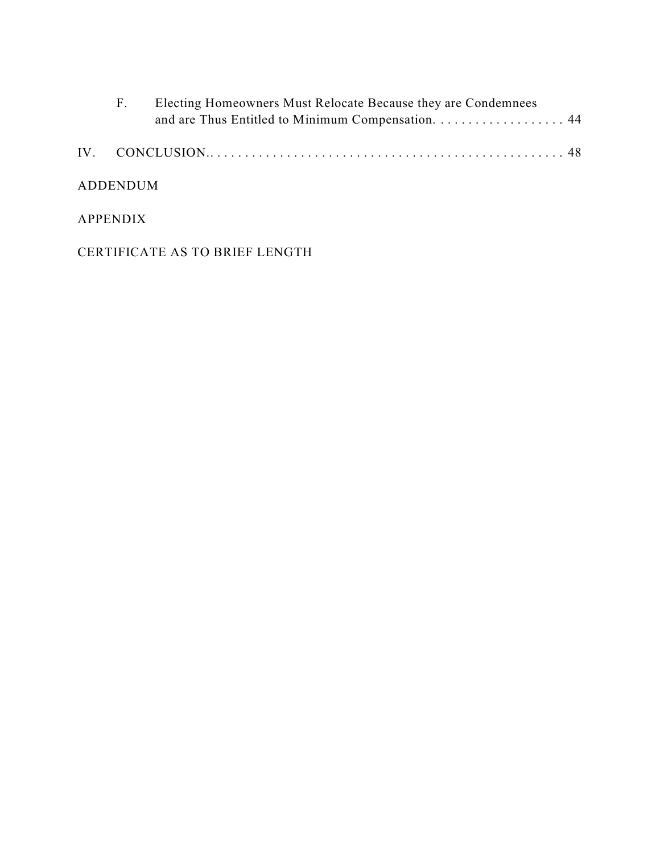| <b>F.</b> | Electing Homeowners Must Relocate Because they are Condemnees<br>and are Thus Entitled to Minimum Compensation. 44 |  |
|-----------|--------------------------------------------------------------------------------------------------------------------|--|
|           |                                                                                                                    |  |
| ADDENDUM  |                                                                                                                    |  |

# APPENDIX

CERTIFICATE AS TO BRIEF LENGTH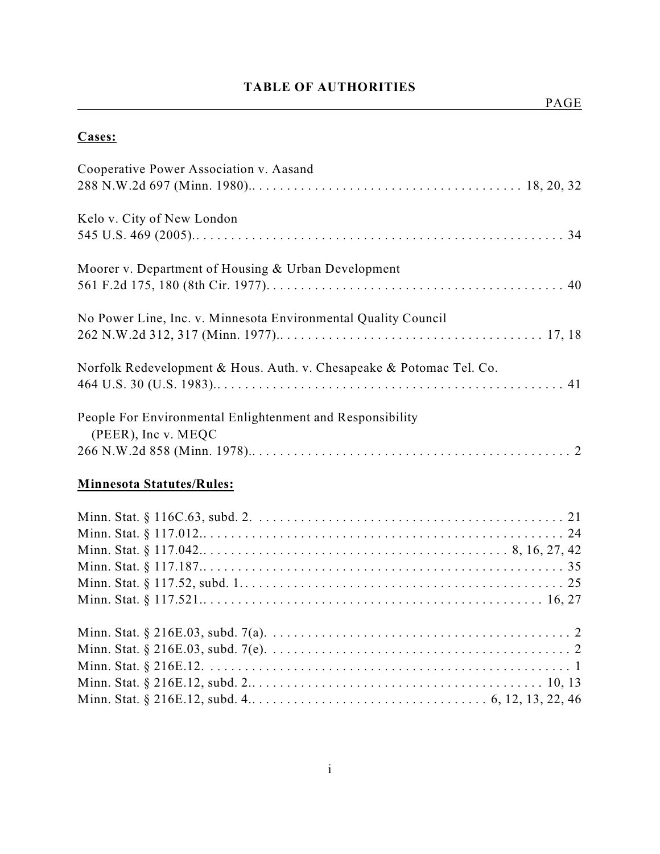# **TABLE OF AUTHORITIES**

# **Cases:**

| Cooperative Power Association v. Aasand                              |
|----------------------------------------------------------------------|
|                                                                      |
| Kelo v. City of New London                                           |
|                                                                      |
| Moorer v. Department of Housing & Urban Development                  |
|                                                                      |
| No Power Line, Inc. v. Minnesota Environmental Quality Council       |
|                                                                      |
| Norfolk Redevelopment & Hous. Auth. v. Chesapeake & Potomac Tel. Co. |
|                                                                      |
| People For Environmental Enlightenment and Responsibility            |
| (PEER), Inc v. MEQC                                                  |
|                                                                      |
| <b>Minnesota Statutes/Rules:</b>                                     |
|                                                                      |
|                                                                      |
|                                                                      |
|                                                                      |
|                                                                      |
|                                                                      |
|                                                                      |
|                                                                      |
|                                                                      |
|                                                                      |
|                                                                      |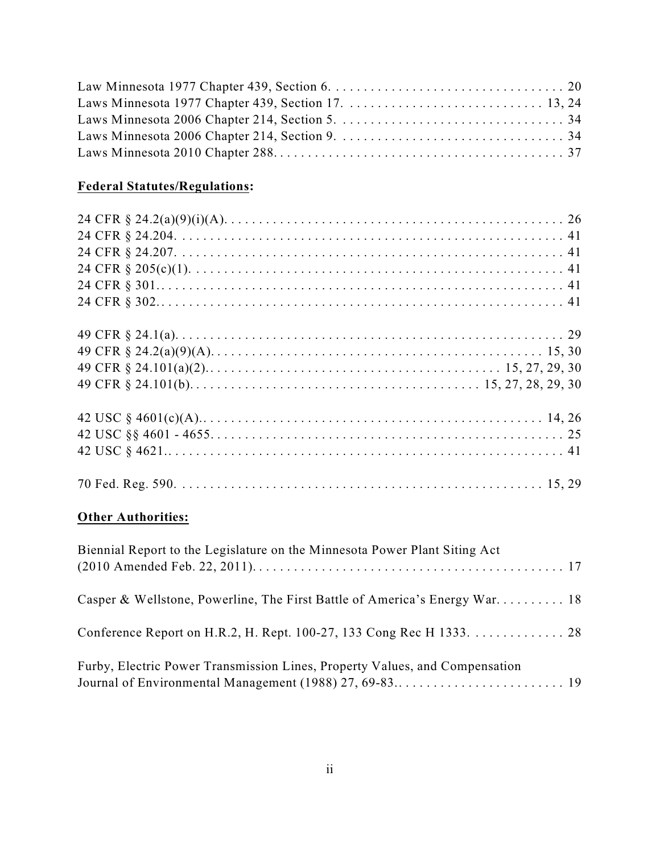# **Federal Statutes/Regulations:**

# **Other Authorities:**

| Biennial Report to the Legislature on the Minnesota Power Plant Siting Act  |  |
|-----------------------------------------------------------------------------|--|
| Casper & Wellstone, Powerline, The First Battle of America's Energy War 18  |  |
| Conference Report on H.R.2, H. Rept. 100-27, 133 Cong Rec H 1333. 28        |  |
| Furby, Electric Power Transmission Lines, Property Values, and Compensation |  |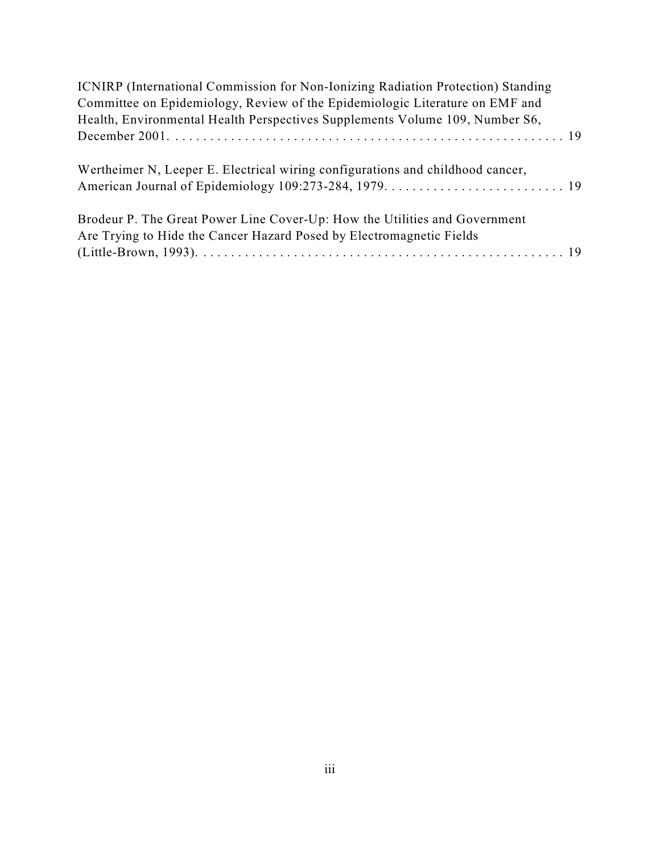| <b>ICNIRP</b> (International Commission for Non-Ionizing Radiation Protection) Standing |  |
|-----------------------------------------------------------------------------------------|--|
| Committee on Epidemiology, Review of the Epidemiologic Literature on EMF and            |  |
| Health, Environmental Health Perspectives Supplements Volume 109, Number S6,            |  |
|                                                                                         |  |
| Wertheimer N, Leeper E. Electrical wiring configurations and childhood cancer,          |  |
|                                                                                         |  |
| Brodeur P. The Great Power Line Cover-Up: How the Utilities and Government              |  |
| Are Trying to Hide the Cancer Hazard Posed by Electromagnetic Fields                    |  |
|                                                                                         |  |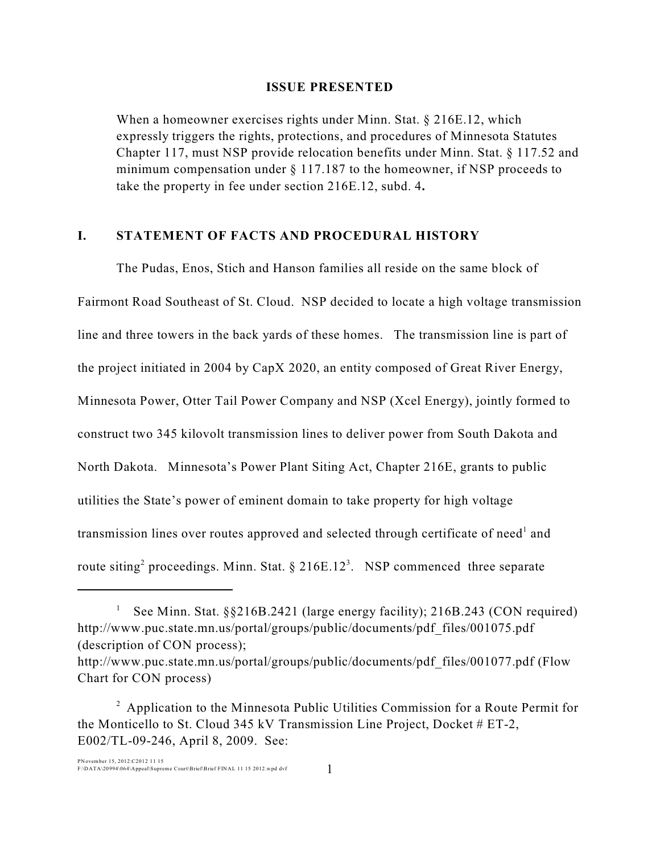#### **ISSUE PRESENTED**

When a homeowner exercises rights under Minn. Stat.  $\S 216E.12$ , which expressly triggers the rights, protections, and procedures of Minnesota Statutes Chapter 117, must NSP provide relocation benefits under Minn. Stat. § 117.52 and minimum compensation under  $\S 117.187$  to the homeowner, if NSP proceeds to take the property in fee under section 216E.12, subd. 4**.**

#### **I. STATEMENT OF FACTS AND PROCEDURAL HISTORY**

The Pudas, Enos, Stich and Hanson families all reside on the same block of Fairmont Road Southeast of St. Cloud. NSP decided to locate a high voltage transmission line and three towers in the back yards of these homes. The transmission line is part of the project initiated in 2004 by CapX 2020, an entity composed of Great River Energy, Minnesota Power, Otter Tail Power Company and NSP (Xcel Energy), jointly formed to construct two 345 kilovolt transmission lines to deliver power from South Dakota and North Dakota. Minnesota's Power Plant Siting Act, Chapter 216E, grants to public utilities the State's power of eminent domain to take property for high voltage transmission lines over routes approved and selected through certificate of need<sup>1</sup> and route siting<sup>2</sup> proceedings. Minn. Stat. § 216E.12<sup>3</sup>. NSP commenced three separate

See Minn. Stat. §§216B.2421 (large energy facility); 216B.243 (CON required) <sup>1</sup> http://www.puc.state.mn.us/portal/groups/public/documents/pdf\_files/001075.pdf (description of CON process);

http://www.puc.state.mn.us/portal/groups/public/documents/pdf\_files/001077.pdf (Flow Chart for CON process)

 $\alpha$ <sup>2</sup> Application to the Minnesota Public Utilities Commission for a Route Permit for the Monticello to St. Cloud 345 kV Transmission Line Project, Docket # ET-2, E002/TL-09-246, April 8, 2009. See: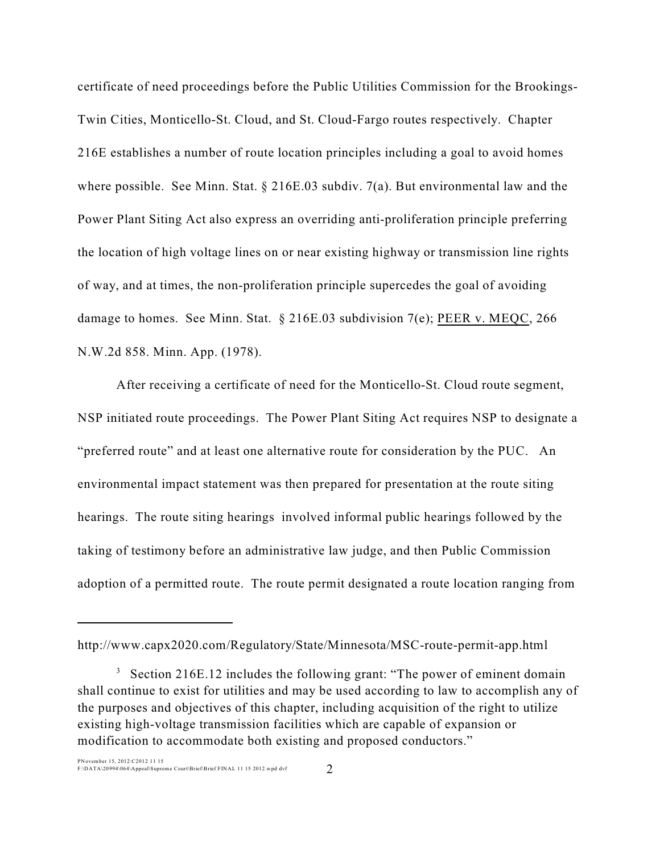certificate of need proceedings before the Public Utilities Commission for the Brookings-Twin Cities, Monticello-St. Cloud, and St. Cloud-Fargo routes respectively. Chapter 216E establishes a number of route location principles including a goal to avoid homes where possible. See Minn. Stat. § 216E.03 subdiv. 7(a). But environmental law and the Power Plant Siting Act also express an overriding anti-proliferation principle preferring the location of high voltage lines on or near existing highway or transmission line rights of way, and at times, the non-proliferation principle supercedes the goal of avoiding damage to homes. See Minn. Stat. § 216E.03 subdivision 7(e); PEER v. MEQC, 266 N.W.2d 858. Minn. App. (1978).

After receiving a certificate of need for the Monticello-St. Cloud route segment, NSP initiated route proceedings. The Power Plant Siting Act requires NSP to designate a "preferred route" and at least one alternative route for consideration by the PUC. An environmental impact statement was then prepared for presentation at the route siting hearings. The route siting hearings involved informal public hearings followed by the taking of testimony before an administrative law judge, and then Public Commission adoption of a permitted route. The route permit designated a route location ranging from

http://www.capx2020.com/Regulatory/State/Minnesota/MSC-route-permit-app.html

 $3$  Section 216E.12 includes the following grant: "The power of eminent domain shall continue to exist for utilities and may be used according to law to accomplish any of the purposes and objectives of this chapter, including acquisition of the right to utilize existing high-voltage transmission facilities which are capable of expansion or modification to accommodate both existing and proposed conductors."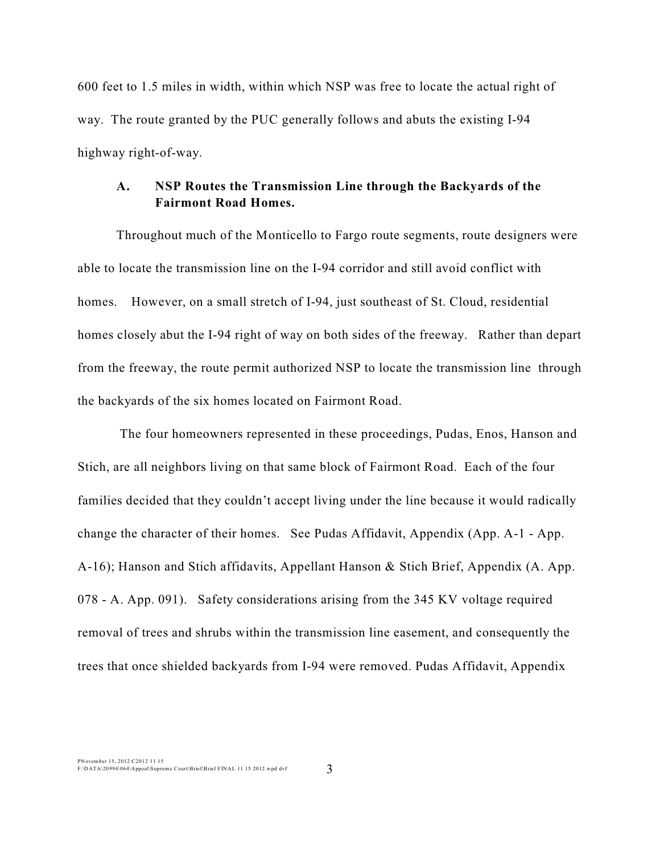600 feet to 1.5 miles in width, within which NSP was free to locate the actual right of way. The route granted by the PUC generally follows and abuts the existing I-94 highway right-of-way.

#### **A. NSP Routes the Transmission Line through the Backyards of the Fairmont Road Homes.**

Throughout much of the Monticello to Fargo route segments, route designers were able to locate the transmission line on the I-94 corridor and still avoid conflict with homes. However, on a small stretch of I-94, just southeast of St. Cloud, residential homes closely abut the I-94 right of way on both sides of the freeway. Rather than depart from the freeway, the route permit authorized NSP to locate the transmission line through the backyards of the six homes located on Fairmont Road.

 The four homeowners represented in these proceedings, Pudas, Enos, Hanson and Stich, are all neighbors living on that same block of Fairmont Road. Each of the four families decided that they couldn't accept living under the line because it would radically change the character of their homes. See Pudas Affidavit, Appendix (App. A-1 - App. A-16); Hanson and Stich affidavits, Appellant Hanson & Stich Brief, Appendix (A. App. 078 - A. App. 091). Safety considerations arising from the 345 KV voltage required removal of trees and shrubs within the transmission line easement, and consequently the trees that once shielded backyards from I-94 were removed. Pudas Affidavit, Appendix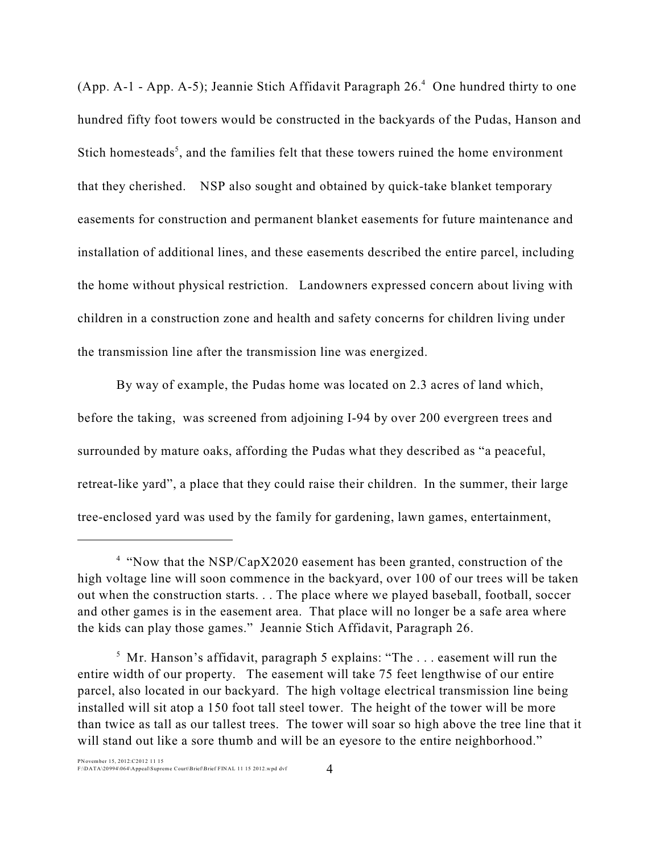(App. A-1 - App. A-5); Jeannie Stich Affidavit Paragraph  $26<sup>4</sup>$  One hundred thirty to one hundred fifty foot towers would be constructed in the backyards of the Pudas, Hanson and Stich homesteads<sup>5</sup>, and the families felt that these towers ruined the home environment that they cherished. NSP also sought and obtained by quick-take blanket temporary easements for construction and permanent blanket easements for future maintenance and installation of additional lines, and these easements described the entire parcel, including the home without physical restriction. Landowners expressed concern about living with children in a construction zone and health and safety concerns for children living under the transmission line after the transmission line was energized.

By way of example, the Pudas home was located on 2.3 acres of land which, before the taking, was screened from adjoining I-94 by over 200 evergreen trees and surrounded by mature oaks, affording the Pudas what they described as "a peaceful, retreat-like yard", a place that they could raise their children. In the summer, their large tree-enclosed yard was used by the family for gardening, lawn games, entertainment,

<sup>&</sup>lt;sup>4</sup> "Now that the NSP/CapX2020 easement has been granted, construction of the high voltage line will soon commence in the backyard, over 100 of our trees will be taken out when the construction starts. . . The place where we played baseball, football, soccer and other games is in the easement area. That place will no longer be a safe area where the kids can play those games." Jeannie Stich Affidavit, Paragraph 26.

 $<sup>5</sup>$  Mr. Hanson's affidavit, paragraph 5 explains: "The ... easement will run the</sup> entire width of our property. The easement will take 75 feet lengthwise of our entire parcel, also located in our backyard. The high voltage electrical transmission line being installed will sit atop a 150 foot tall steel tower. The height of the tower will be more than twice as tall as our tallest trees. The tower will soar so high above the tree line that it will stand out like a sore thumb and will be an eyesore to the entire neighborhood."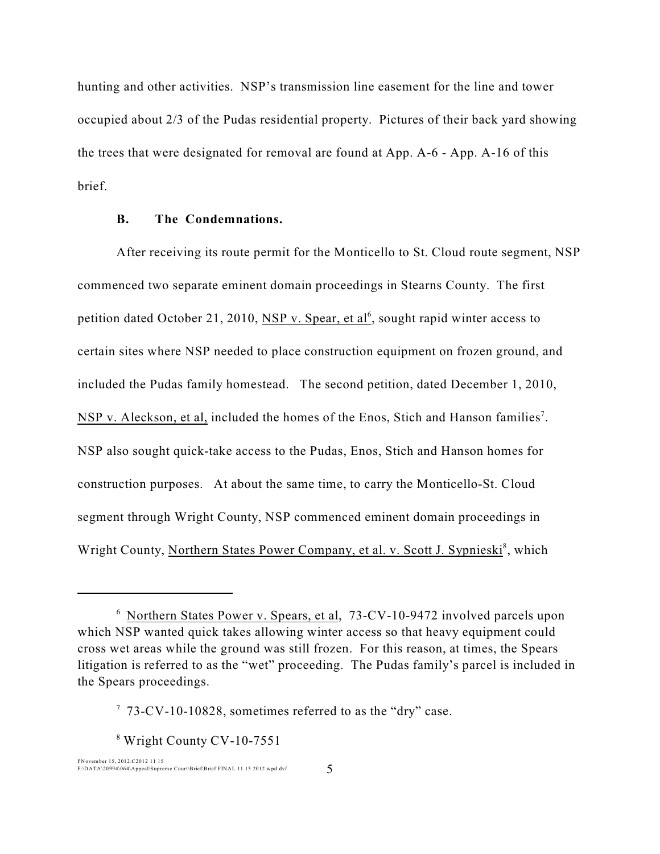hunting and other activities. NSP's transmission line easement for the line and tower occupied about 2/3 of the Pudas residential property. Pictures of their back yard showing the trees that were designated for removal are found at App. A-6 - App. A-16 of this brief.

#### **B. The Condemnations.**

After receiving its route permit for the Monticello to St. Cloud route segment, NSP commenced two separate eminent domain proceedings in Stearns County. The first petition dated October 21, 2010, NSP v. Spear, et al<sup>6</sup>, sought rapid winter access to certain sites where NSP needed to place construction equipment on frozen ground, and included the Pudas family homestead. The second petition, dated December 1, 2010, NSP v. Aleckson, et al, included the homes of the Enos, Stich and Hanson families<sup>7</sup>. NSP also sought quick-take access to the Pudas, Enos, Stich and Hanson homes for construction purposes. At about the same time, to carry the Monticello-St. Cloud segment through Wright County, NSP commenced eminent domain proceedings in Wright County, Northern States Power Company, et al. v. Scott J. Sypnieski<sup>8</sup>, which

 $8$  Wright County CV-10-7551

 $6$  Northern States Power v. Spears, et al, 73-CV-10-9472 involved parcels upon which NSP wanted quick takes allowing winter access so that heavy equipment could cross wet areas while the ground was still frozen. For this reason, at times, the Spears litigation is referred to as the "wet" proceeding. The Pudas family's parcel is included in the Spears proceedings.

 $773$ -CV-10-10828, sometimes referred to as the "dry" case.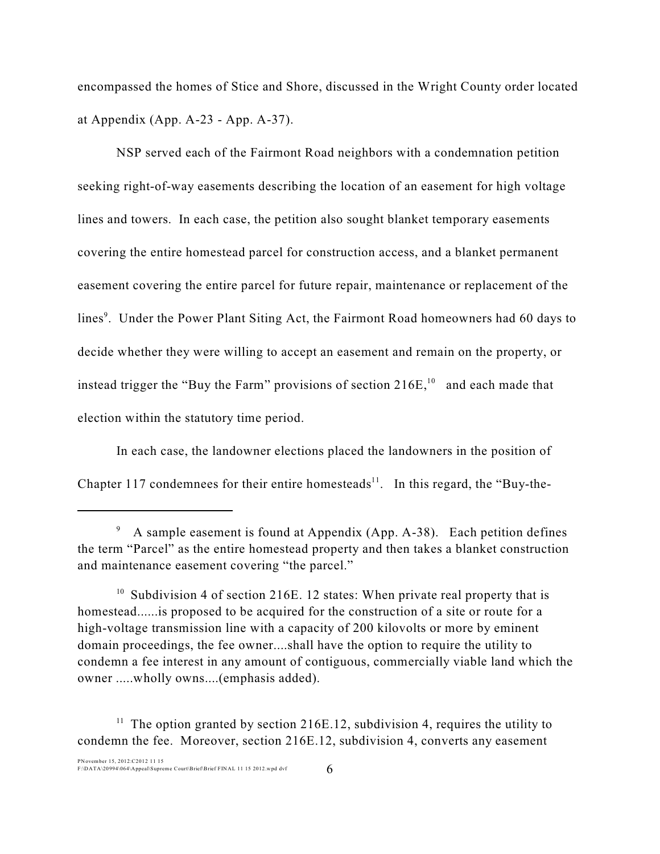encompassed the homes of Stice and Shore, discussed in the Wright County order located at Appendix (App. A-23 - App. A-37).

NSP served each of the Fairmont Road neighbors with a condemnation petition seeking right-of-way easements describing the location of an easement for high voltage lines and towers. In each case, the petition also sought blanket temporary easements covering the entire homestead parcel for construction access, and a blanket permanent easement covering the entire parcel for future repair, maintenance or replacement of the lines<sup>9</sup>. Under the Power Plant Siting Act, the Fairmont Road homeowners had 60 days to decide whether they were willing to accept an easement and remain on the property, or instead trigger the "Buy the Farm" provisions of section  $216E<sub>10</sub><sup>10</sup>$  and each made that election within the statutory time period.

In each case, the landowner elections placed the landowners in the position of Chapter 117 condemnees for their entire homesteads<sup>11</sup>. In this regard, the "Buy-the-

A sample easement is found at Appendix (App. A-38). Each petition defines the term "Parcel" as the entire homestead property and then takes a blanket construction and maintenance easement covering "the parcel."

 $10$  Subdivision 4 of section 216E. 12 states: When private real property that is homestead......is proposed to be acquired for the construction of a site or route for a high-voltage transmission line with a capacity of 200 kilovolts or more by eminent domain proceedings, the fee owner....shall have the option to require the utility to condemn a fee interest in any amount of contiguous, commercially viable land which the owner .....wholly owns....(emphasis added).

 $<sup>11</sup>$  The option granted by section 216E.12, subdivision 4, requires the utility to</sup> condemn the fee. Moreover, section 216E.12, subdivision 4, converts any easement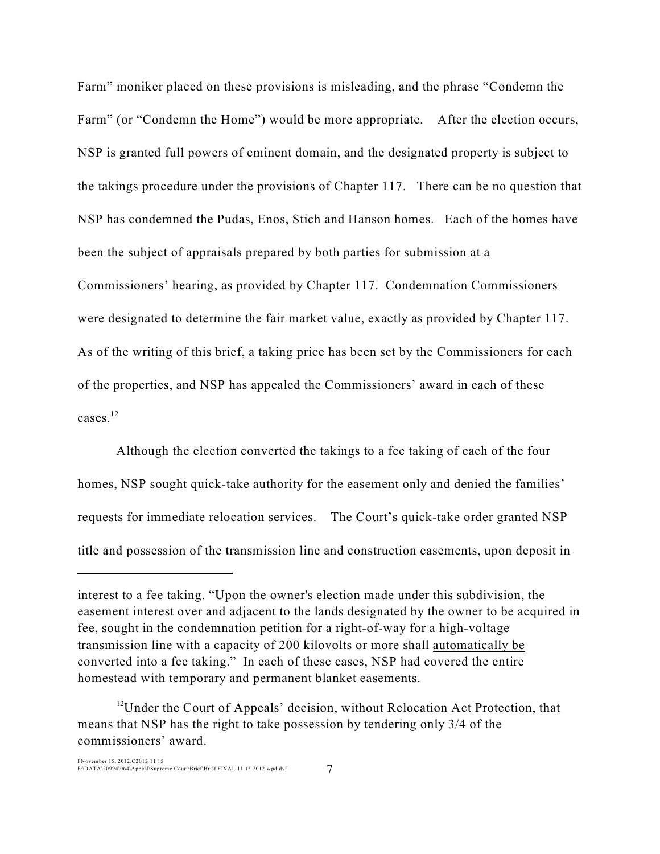Farm" moniker placed on these provisions is misleading, and the phrase "Condemn the Farm" (or "Condemn the Home") would be more appropriate. After the election occurs, NSP is granted full powers of eminent domain, and the designated property is subject to the takings procedure under the provisions of Chapter 117. There can be no question that NSP has condemned the Pudas, Enos, Stich and Hanson homes. Each of the homes have been the subject of appraisals prepared by both parties for submission at a Commissioners' hearing, as provided by Chapter 117. Condemnation Commissioners were designated to determine the fair market value, exactly as provided by Chapter 117. As of the writing of this brief, a taking price has been set by the Commissioners for each of the properties, and NSP has appealed the Commissioners' award in each of these cases. $12$ 

Although the election converted the takings to a fee taking of each of the four homes, NSP sought quick-take authority for the easement only and denied the families' requests for immediate relocation services. The Court's quick-take order granted NSP title and possession of the transmission line and construction easements, upon deposit in

interest to a fee taking. "Upon the owner's election made under this subdivision, the easement interest over and adjacent to the lands designated by the owner to be acquired in fee, sought in the condemnation petition for a right-of-way for a high-voltage transmission line with a capacity of 200 kilovolts or more shall automatically be converted into a fee taking." In each of these cases, NSP had covered the entire homestead with temporary and permanent blanket easements.

<sup>&</sup>lt;sup>12</sup>Under the Court of Appeals' decision, without Relocation Act Protection, that means that NSP has the right to take possession by tendering only 3/4 of the commissioners' award.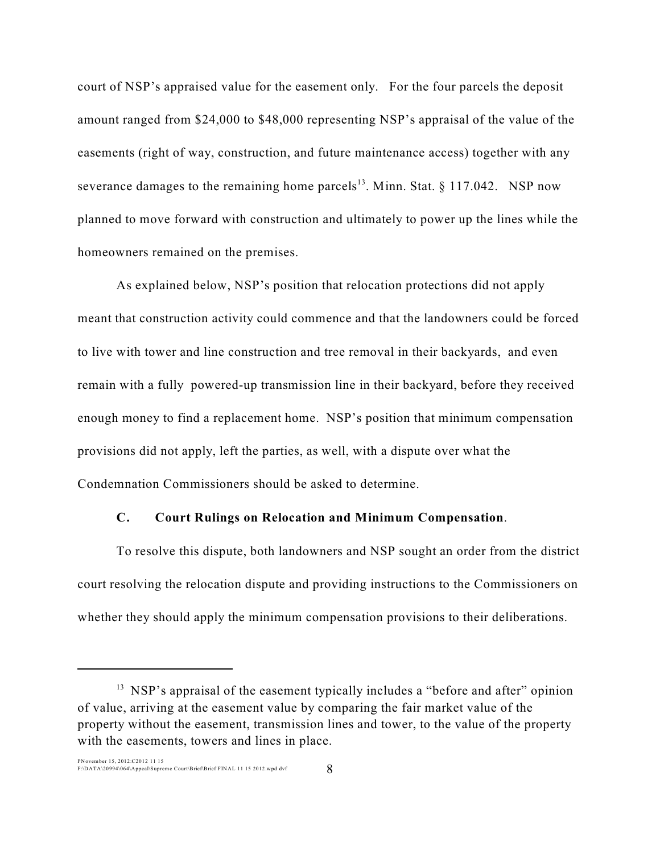court of NSP's appraised value for the easement only. For the four parcels the deposit amount ranged from \$24,000 to \$48,000 representing NSP's appraisal of the value of the easements (right of way, construction, and future maintenance access) together with any severance damages to the remaining home parcels<sup>13</sup>. Minn. Stat.  $\S$  117.042. NSP now planned to move forward with construction and ultimately to power up the lines while the homeowners remained on the premises.

As explained below, NSP's position that relocation protections did not apply meant that construction activity could commence and that the landowners could be forced to live with tower and line construction and tree removal in their backyards, and even remain with a fully powered-up transmission line in their backyard, before they received enough money to find a replacement home. NSP's position that minimum compensation provisions did not apply, left the parties, as well, with a dispute over what the Condemnation Commissioners should be asked to determine.

#### **C. Court Rulings on Relocation and Minimum Compensation**.

To resolve this dispute, both landowners and NSP sought an order from the district court resolving the relocation dispute and providing instructions to the Commissioners on whether they should apply the minimum compensation provisions to their deliberations.

<sup>&</sup>lt;sup>13</sup> NSP's appraisal of the easement typically includes a "before and after" opinion of value, arriving at the easement value by comparing the fair market value of the property without the easement, transmission lines and tower, to the value of the property with the easements, towers and lines in place.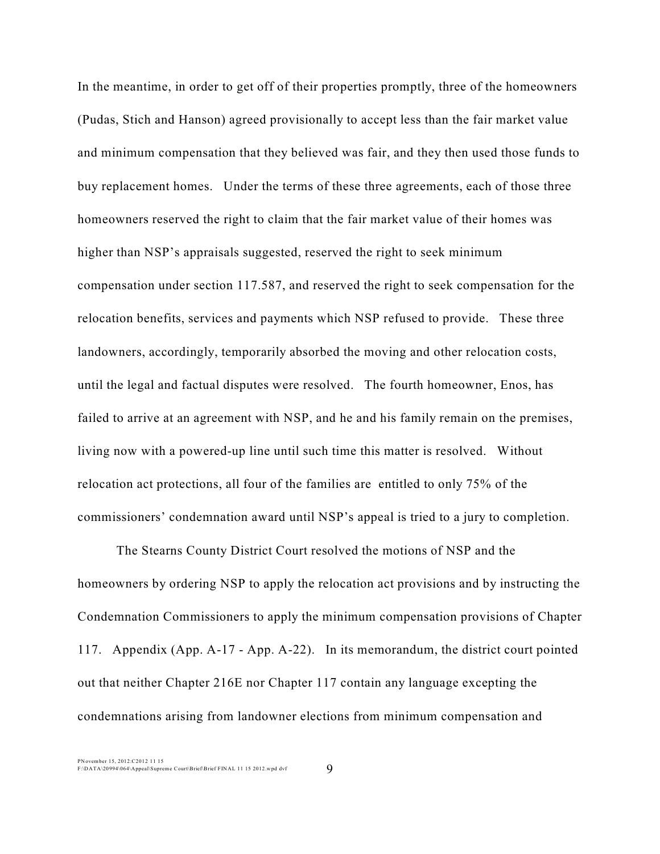In the meantime, in order to get off of their properties promptly, three of the homeowners (Pudas, Stich and Hanson) agreed provisionally to accept less than the fair market value and minimum compensation that they believed was fair, and they then used those funds to buy replacement homes. Under the terms of these three agreements, each of those three homeowners reserved the right to claim that the fair market value of their homes was higher than NSP's appraisals suggested, reserved the right to seek minimum compensation under section 117.587, and reserved the right to seek compensation for the relocation benefits, services and payments which NSP refused to provide. These three landowners, accordingly, temporarily absorbed the moving and other relocation costs, until the legal and factual disputes were resolved. The fourth homeowner, Enos, has failed to arrive at an agreement with NSP, and he and his family remain on the premises, living now with a powered-up line until such time this matter is resolved. Without relocation act protections, all four of the families are entitled to only 75% of the commissioners' condemnation award until NSP's appeal is tried to a jury to completion.

The Stearns County District Court resolved the motions of NSP and the homeowners by ordering NSP to apply the relocation act provisions and by instructing the Condemnation Commissioners to apply the minimum compensation provisions of Chapter 117. Appendix (App. A-17 - App. A-22). In its memorandum, the district court pointed out that neither Chapter 216E nor Chapter 117 contain any language excepting the condemnations arising from landowner elections from minimum compensation and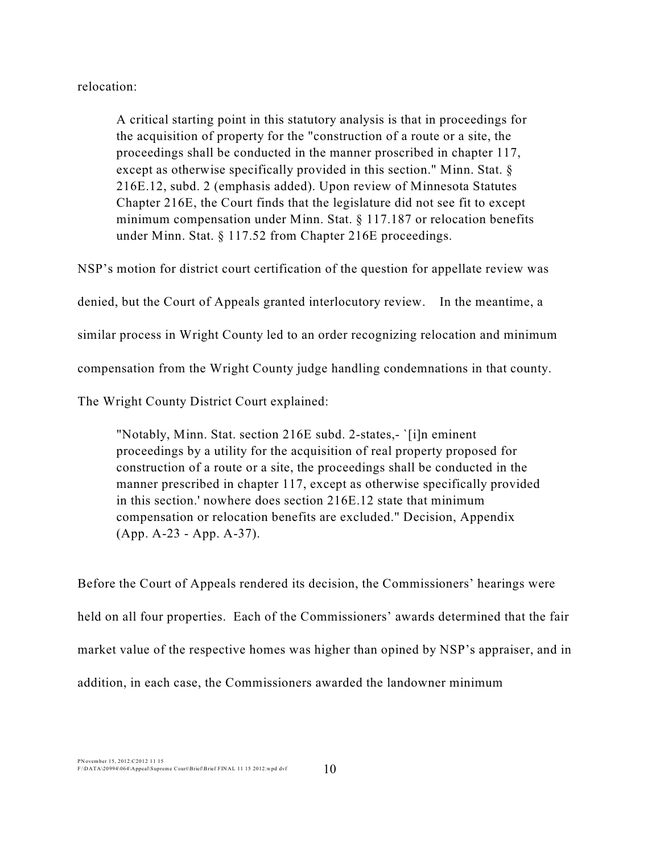relocation:

A critical starting point in this statutory analysis is that in proceedings for the acquisition of property for the "construction of a route or a site, the proceedings shall be conducted in the manner proscribed in chapter 117, except as otherwise specifically provided in this section." Minn. Stat. § 216E.12, subd. 2 (emphasis added). Upon review of Minnesota Statutes Chapter 216E, the Court finds that the legislature did not see fit to except minimum compensation under Minn. Stat. § 117.187 or relocation benefits under Minn. Stat. § 117.52 from Chapter 216E proceedings.

NSP's motion for district court certification of the question for appellate review was denied, but the Court of Appeals granted interlocutory review. In the meantime, a similar process in Wright County led to an order recognizing relocation and minimum compensation from the Wright County judge handling condemnations in that county. The Wright County District Court explained:

"Notably, Minn. Stat. section 216E subd. 2-states,- `[i]n eminent proceedings by a utility for the acquisition of real property proposed for construction of a route or a site, the proceedings shall be conducted in the manner prescribed in chapter 117, except as otherwise specifically provided in this section.' nowhere does section 216E.12 state that minimum compensation or relocation benefits are excluded." Decision, Appendix (App. A-23 - App. A-37).

Before the Court of Appeals rendered its decision, the Commissioners' hearings were held on all four properties. Each of the Commissioners' awards determined that the fair market value of the respective homes was higher than opined by NSP's appraiser, and in addition, in each case, the Commissioners awarded the landowner minimum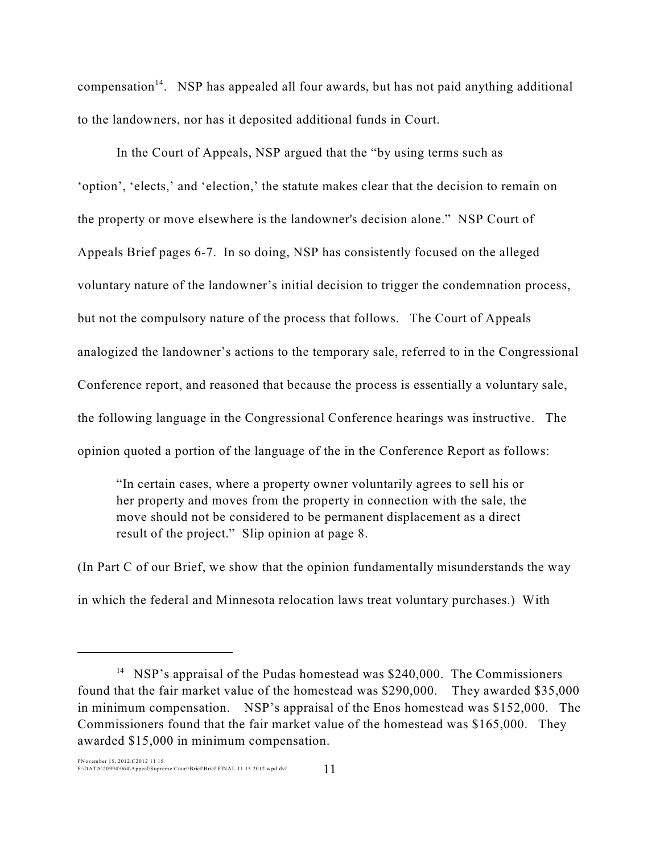compensation<sup>14</sup>. NSP has appealed all four awards, but has not paid anything additional to the landowners, nor has it deposited additional funds in Court.

In the Court of Appeals, NSP argued that the "by using terms such as 'option', 'elects,' and 'election,' the statute makes clear that the decision to remain on the property or move elsewhere is the landowner's decision alone." NSP Court of Appeals Brief pages 6-7. In so doing, NSP has consistently focused on the alleged voluntary nature of the landowner's initial decision to trigger the condemnation process, but not the compulsory nature of the process that follows. The Court of Appeals analogized the landowner's actions to the temporary sale, referred to in the Congressional Conference report, and reasoned that because the process is essentially a voluntary sale, the following language in the Congressional Conference hearings was instructive. The opinion quoted a portion of the language of the in the Conference Report as follows:

"In certain cases, where a property owner voluntarily agrees to sell his or her property and moves from the property in connection with the sale, the move should not be considered to be permanent displacement as a direct result of the project." Slip opinion at page 8.

(In Part C of our Brief, we show that the opinion fundamentally misunderstands the way in which the federal and Minnesota relocation laws treat voluntary purchases.) With

<sup>&</sup>lt;sup>14</sup> NSP's appraisal of the Pudas homestead was \$240,000. The Commissioners found that the fair market value of the homestead was \$290,000. They awarded \$35,000 in minimum compensation. NSP's appraisal of the Enos homestead was \$152,000. The Commissioners found that the fair market value of the homestead was \$165,000. They awarded \$15,000 in minimum compensation.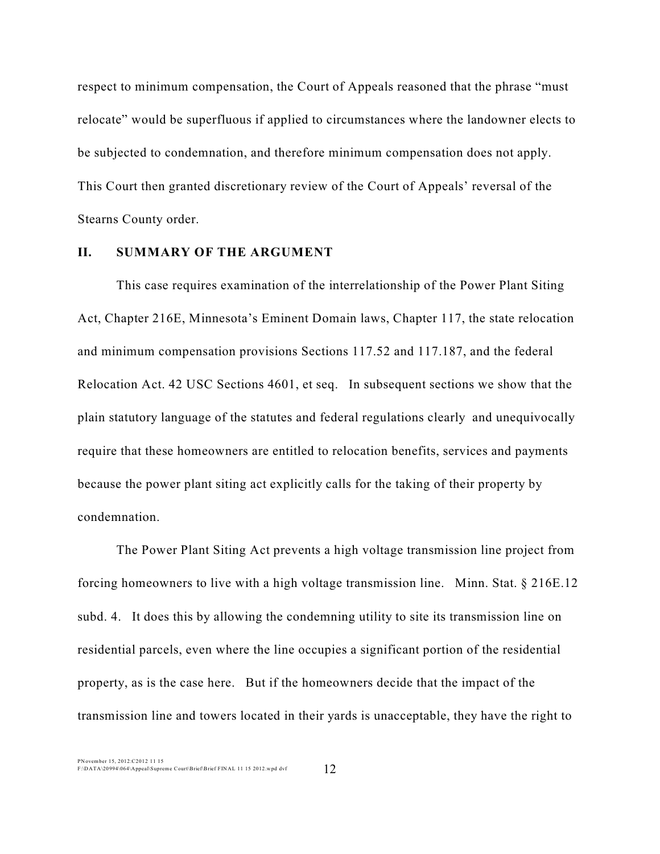respect to minimum compensation, the Court of Appeals reasoned that the phrase "must relocate" would be superfluous if applied to circumstances where the landowner elects to be subjected to condemnation, and therefore minimum compensation does not apply. This Court then granted discretionary review of the Court of Appeals' reversal of the Stearns County order.

#### **II. SUMMARY OF THE ARGUMENT**

This case requires examination of the interrelationship of the Power Plant Siting Act, Chapter 216E, Minnesota's Eminent Domain laws, Chapter 117, the state relocation and minimum compensation provisions Sections 117.52 and 117.187, and the federal Relocation Act. 42 USC Sections 4601, et seq. In subsequent sections we show that the plain statutory language of the statutes and federal regulations clearly and unequivocally require that these homeowners are entitled to relocation benefits, services and payments because the power plant siting act explicitly calls for the taking of their property by condemnation.

The Power Plant Siting Act prevents a high voltage transmission line project from forcing homeowners to live with a high voltage transmission line. Minn. Stat. § 216E.12 subd. 4. It does this by allowing the condemning utility to site its transmission line on residential parcels, even where the line occupies a significant portion of the residential property, as is the case here. But if the homeowners decide that the impact of the transmission line and towers located in their yards is unacceptable, they have the right to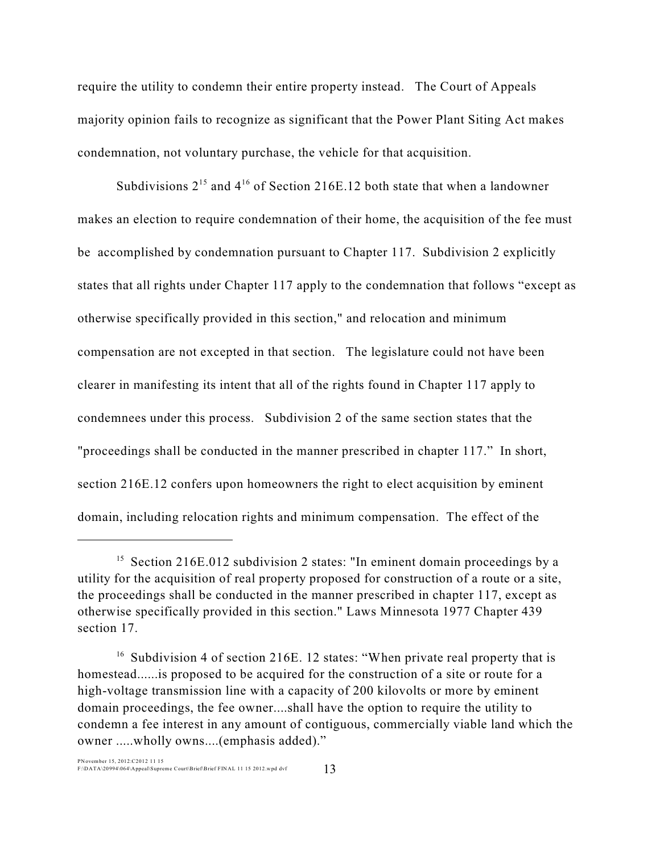require the utility to condemn their entire property instead. The Court of Appeals majority opinion fails to recognize as significant that the Power Plant Siting Act makes condemnation, not voluntary purchase, the vehicle for that acquisition.

Subdivisions  $2^{15}$  and  $4^{16}$  of Section 216E.12 both state that when a landowner makes an election to require condemnation of their home, the acquisition of the fee must be accomplished by condemnation pursuant to Chapter 117. Subdivision 2 explicitly states that all rights under Chapter 117 apply to the condemnation that follows "except as otherwise specifically provided in this section," and relocation and minimum compensation are not excepted in that section. The legislature could not have been clearer in manifesting its intent that all of the rights found in Chapter 117 apply to condemnees under this process. Subdivision 2 of the same section states that the "proceedings shall be conducted in the manner prescribed in chapter 117." In short, section 216E.12 confers upon homeowners the right to elect acquisition by eminent domain, including relocation rights and minimum compensation. The effect of the

 $15$  Section 216E.012 subdivision 2 states: "In eminent domain proceedings by a utility for the acquisition of real property proposed for construction of a route or a site, the proceedings shall be conducted in the manner prescribed in chapter 117, except as otherwise specifically provided in this section." Laws Minnesota 1977 Chapter 439 section 17.

 $16$  Subdivision 4 of section 216E. 12 states: "When private real property that is homestead......is proposed to be acquired for the construction of a site or route for a high-voltage transmission line with a capacity of 200 kilovolts or more by eminent domain proceedings, the fee owner....shall have the option to require the utility to condemn a fee interest in any amount of contiguous, commercially viable land which the owner .....wholly owns....(emphasis added)."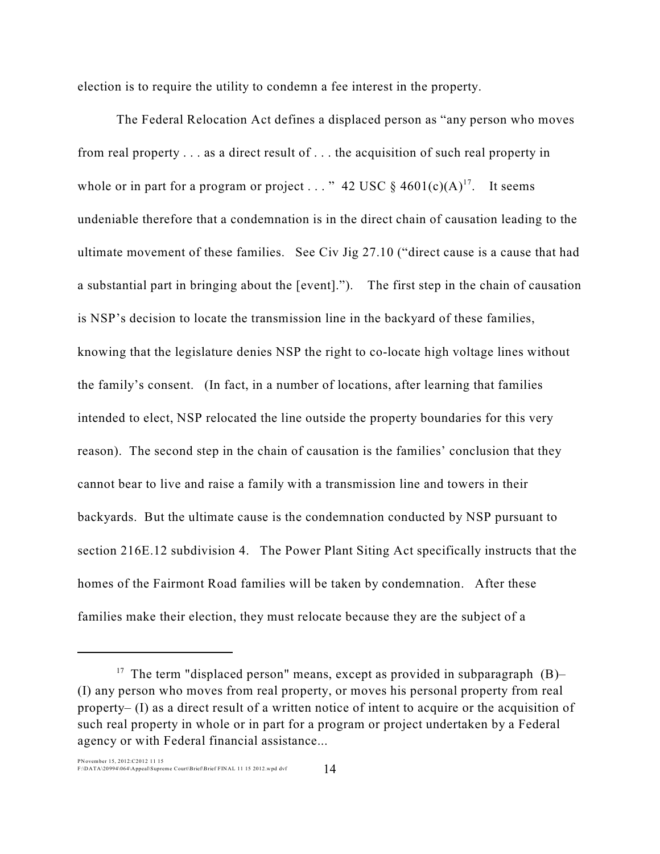election is to require the utility to condemn a fee interest in the property.

The Federal Relocation Act defines a displaced person as "any person who moves from real property . . . as a direct result of . . . the acquisition of such real property in whole or in part for a program or project . . . " 42 USC  $\S$  4601(c)(A)<sup>17</sup>. It seems undeniable therefore that a condemnation is in the direct chain of causation leading to the ultimate movement of these families. See Civ Jig 27.10 ("direct cause is a cause that had a substantial part in bringing about the [event]."). The first step in the chain of causation is NSP's decision to locate the transmission line in the backyard of these families, knowing that the legislature denies NSP the right to co-locate high voltage lines without the family's consent. (In fact, in a number of locations, after learning that families intended to elect, NSP relocated the line outside the property boundaries for this very reason). The second step in the chain of causation is the families' conclusion that they cannot bear to live and raise a family with a transmission line and towers in their backyards. But the ultimate cause is the condemnation conducted by NSP pursuant to section 216E.12 subdivision 4. The Power Plant Siting Act specifically instructs that the homes of the Fairmont Road families will be taken by condemnation. After these families make their election, they must relocate because they are the subject of a

<sup>&</sup>lt;sup>17</sup> The term "displaced person" means, except as provided in subparagraph  $(B)$ -(I) any person who moves from real property, or moves his personal property from real property– (I) as a direct result of a written notice of intent to acquire or the acquisition of such real property in whole or in part for a program or project undertaken by a Federal agency or with Federal financial assistance...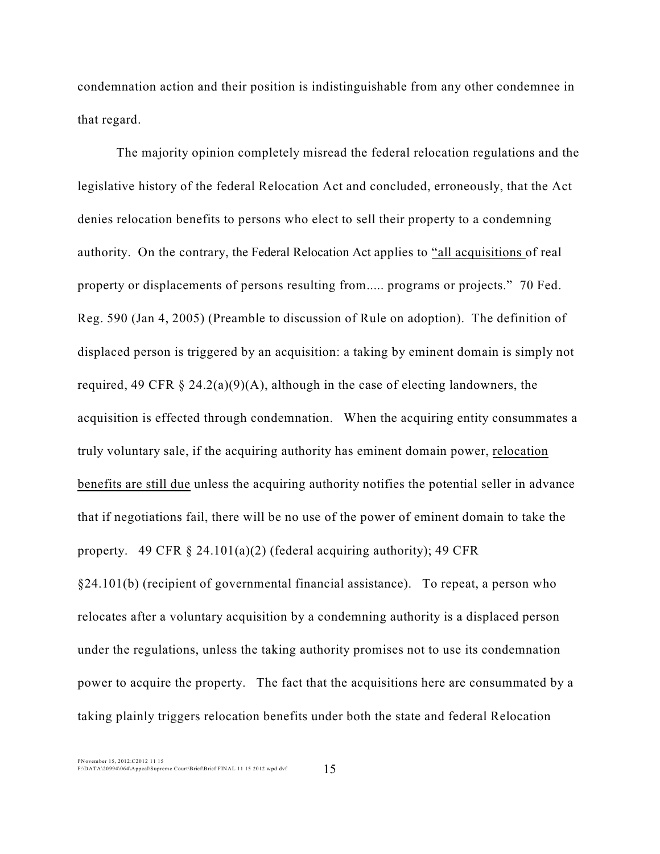condemnation action and their position is indistinguishable from any other condemnee in that regard.

The majority opinion completely misread the federal relocation regulations and the legislative history of the federal Relocation Act and concluded, erroneously, that the Act denies relocation benefits to persons who elect to sell their property to a condemning authority. On the contrary, the Federal Relocation Act applies to "all acquisitions of real property or displacements of persons resulting from..... programs or projects." 70 Fed. Reg. 590 (Jan 4, 2005) (Preamble to discussion of Rule on adoption). The definition of displaced person is triggered by an acquisition: a taking by eminent domain is simply not required, 49 CFR  $\S 24.2(a)(9)(A)$ , although in the case of electing landowners, the acquisition is effected through condemnation. When the acquiring entity consummates a truly voluntary sale, if the acquiring authority has eminent domain power, relocation benefits are still due unless the acquiring authority notifies the potential seller in advance that if negotiations fail, there will be no use of the power of eminent domain to take the property. 49 CFR  $\S$  24.101(a)(2) (federal acquiring authority); 49 CFR §24.101(b) (recipient of governmental financial assistance). To repeat, a person who relocates after a voluntary acquisition by a condemning authority is a displaced person under the regulations, unless the taking authority promises not to use its condemnation power to acquire the property. The fact that the acquisitions here are consummated by a taking plainly triggers relocation benefits under both the state and federal Relocation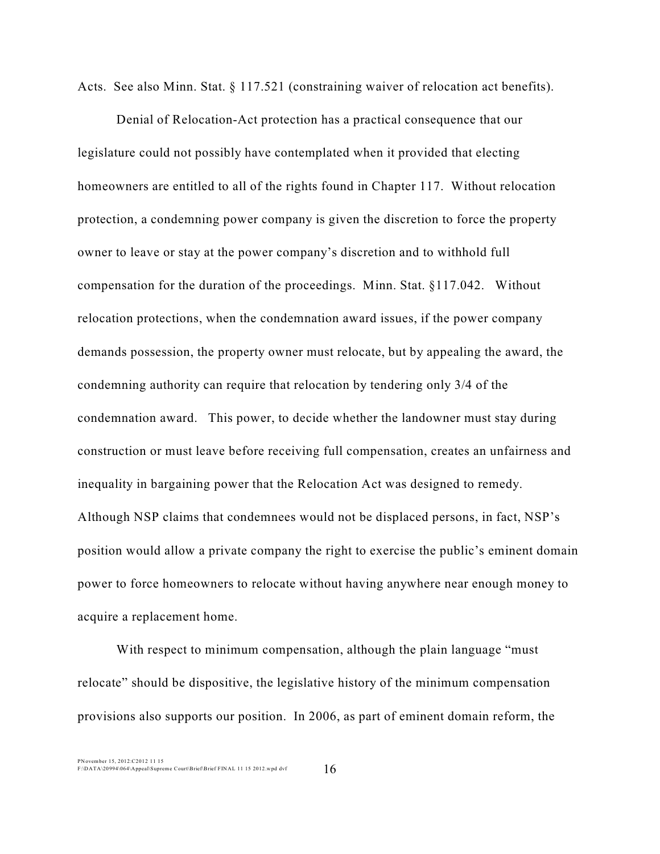Acts. See also Minn. Stat. § 117.521 (constraining waiver of relocation act benefits).

Denial of Relocation-Act protection has a practical consequence that our legislature could not possibly have contemplated when it provided that electing homeowners are entitled to all of the rights found in Chapter 117. Without relocation protection, a condemning power company is given the discretion to force the property owner to leave or stay at the power company's discretion and to withhold full compensation for the duration of the proceedings. Minn. Stat. §117.042. Without relocation protections, when the condemnation award issues, if the power company demands possession, the property owner must relocate, but by appealing the award, the condemning authority can require that relocation by tendering only 3/4 of the condemnation award. This power, to decide whether the landowner must stay during construction or must leave before receiving full compensation, creates an unfairness and inequality in bargaining power that the Relocation Act was designed to remedy. Although NSP claims that condemnees would not be displaced persons, in fact, NSP's position would allow a private company the right to exercise the public's eminent domain power to force homeowners to relocate without having anywhere near enough money to acquire a replacement home.

With respect to minimum compensation, although the plain language "must relocate" should be dispositive, the legislative history of the minimum compensation provisions also supports our position. In 2006, as part of eminent domain reform, the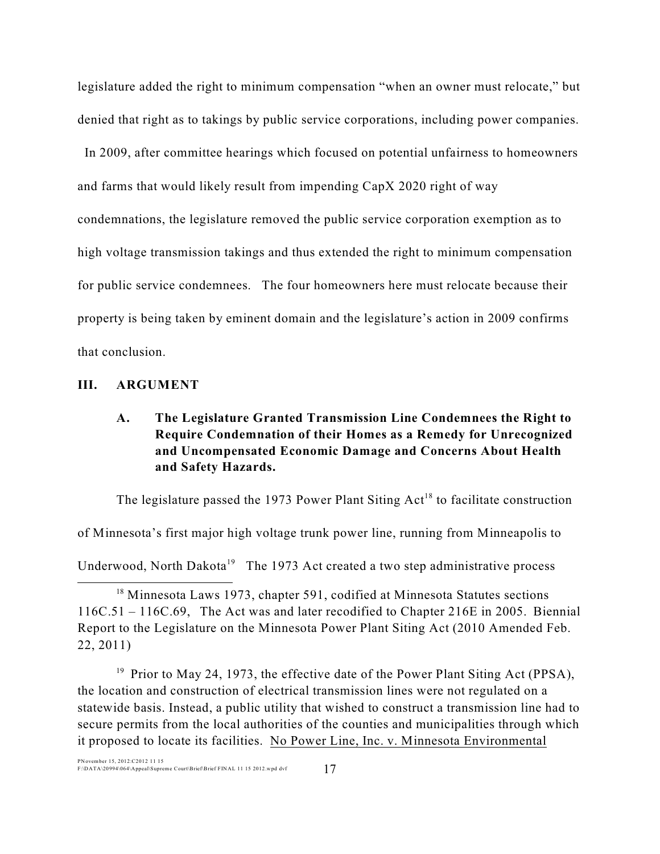legislature added the right to minimum compensation "when an owner must relocate," but denied that right as to takings by public service corporations, including power companies.

 In 2009, after committee hearings which focused on potential unfairness to homeowners and farms that would likely result from impending CapX 2020 right of way condemnations, the legislature removed the public service corporation exemption as to high voltage transmission takings and thus extended the right to minimum compensation for public service condemnees. The four homeowners here must relocate because their property is being taken by eminent domain and the legislature's action in 2009 confirms that conclusion.

#### **III. ARGUMENT**

# **A. The Legislature Granted Transmission Line Condemnees the Right to Require Condemnation of their Homes as a Remedy for Unrecognized and Uncompensated Economic Damage and Concerns About Health and Safety Hazards.**

The legislature passed the 1973 Power Plant Siting  $Act^{18}$  to facilitate construction

of Minnesota's first major high voltage trunk power line, running from Minneapolis to

Underwood, North Dakota<sup>19</sup> The 1973 Act created a two step administrative process

 $18$  Minnesota Laws 1973, chapter 591, codified at Minnesota Statutes sections 116C.51 – 116C.69, The Act was and later recodified to Chapter 216E in 2005. Biennial Report to the Legislature on the Minnesota Power Plant Siting Act (2010 Amended Feb. 22, 2011)

<sup>19</sup> Prior to May 24, 1973, the effective date of the Power Plant Siting Act (PPSA), the location and construction of electrical transmission lines were not regulated on a statewide basis. Instead, a public utility that wished to construct a transmission line had to secure permits from the local authorities of the counties and municipalities through which it proposed to locate its facilities. No Power Line, Inc. v. Minnesota Environmental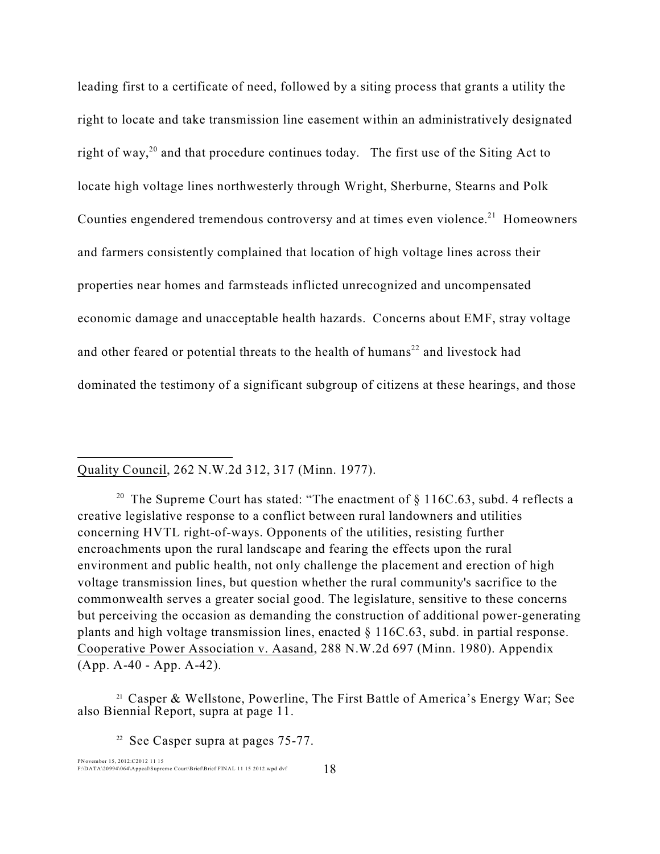leading first to a certificate of need, followed by a siting process that grants a utility the right to locate and take transmission line easement within an administratively designated right of way,<sup>20</sup> and that procedure continues today. The first use of the Siting Act to locate high voltage lines northwesterly through Wright, Sherburne, Stearns and Polk Counties engendered tremendous controversy and at times even violence.<sup> $21$ </sup> Homeowners and farmers consistently complained that location of high voltage lines across their properties near homes and farmsteads inflicted unrecognized and uncompensated economic damage and unacceptable health hazards. Concerns about EMF, stray voltage and other feared or potential threats to the health of humans $^{22}$  and livestock had dominated the testimony of a significant subgroup of citizens at these hearings, and those

Quality Council, 262 N.W.2d 312, 317 (Minn. 1977).

<sup>20</sup> The Supreme Court has stated: "The enactment of  $\S$  116C.63, subd. 4 reflects a creative legislative response to a conflict between rural landowners and utilities concerning HVTL right-of-ways. Opponents of the utilities, resisting further encroachments upon the rural landscape and fearing the effects upon the rural environment and public health, not only challenge the placement and erection of high voltage transmission lines, but question whether the rural community's sacrifice to the commonwealth serves a greater social good. The legislature, sensitive to these concerns but perceiving the occasion as demanding the construction of additional power-generating plants and high voltage transmission lines, enacted § 116C.63, subd. in partial response. Cooperative Power Association v. Aasand, 288 N.W.2d 697 (Minn. 1980). Appendix (App. A-40 - App. A-42).

<sup>21</sup> Casper & Wellstone, Powerline, The First Battle of America's Energy War; See also Biennial Report, supra at page 11.

 $22$  See Casper supra at pages 75-77.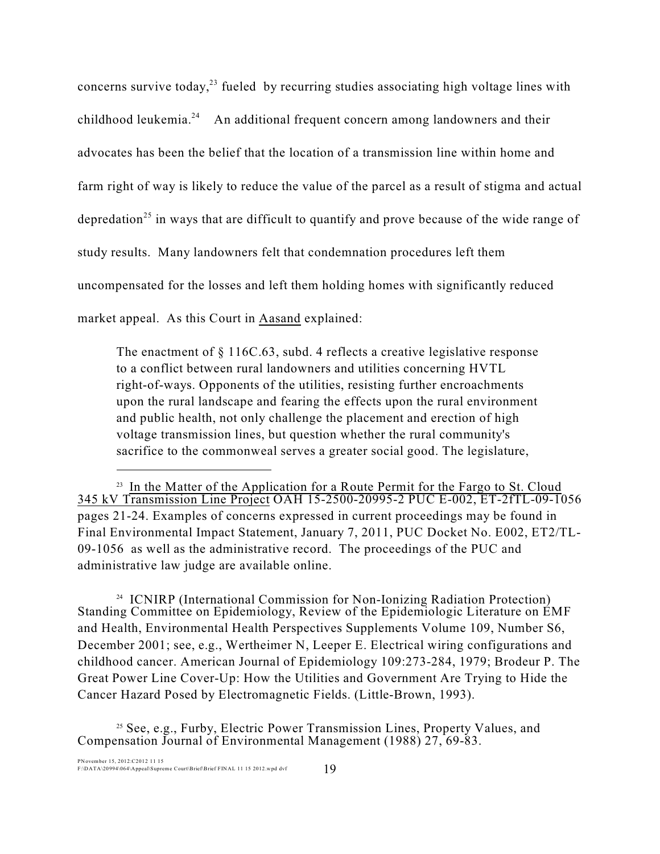concerns survive today,<sup>23</sup> fueled by recurring studies associating high voltage lines with childhood leukemia. $^{24}$  An additional frequent concern among landowners and their advocates has been the belief that the location of a transmission line within home and farm right of way is likely to reduce the value of the parcel as a result of stigma and actual depredation<sup>25</sup> in ways that are difficult to quantify and prove because of the wide range of study results. Many landowners felt that condemnation procedures left them uncompensated for the losses and left them holding homes with significantly reduced market appeal. As this Court in Aasand explained:

The enactment of  $\S 116C.63$ , subd. 4 reflects a creative legislative response to a conflict between rural landowners and utilities concerning HVTL right-of-ways. Opponents of the utilities, resisting further encroachments upon the rural landscape and fearing the effects upon the rural environment and public health, not only challenge the placement and erection of high voltage transmission lines, but question whether the rural community's sacrifice to the commonweal serves a greater social good. The legislature,

<sup>24</sup> ICNIRP (International Commission for Non-Ionizing Radiation Protection) Standing Committee on Epidemiology, Review of the Epidemiologic Literature on EMF and Health, Environmental Health Perspectives Supplements Volume 109, Number S6, December 2001; see, e.g., Wertheimer N, Leeper E. Electrical wiring configurations and childhood cancer. American Journal of Epidemiology 109:273-284, 1979; Brodeur P. The Great Power Line Cover-Up: How the Utilities and Government Are Trying to Hide the Cancer Hazard Posed by Electromagnetic Fields. (Little-Brown, 1993).

 $25$  See, e.g., Furby, Electric Power Transmission Lines, Property Values, and Compensation Journal of Environmental Management (1988) 27, 69-83.

 $23$  In the Matter of the Application for a Route Permit for the Fargo to St. Cloud 345 kV Transmission Line Project OAH 15-2500-20995-2 PUC E-002, ET-2fTL-09-1056 pages 21-24. Examples of concerns expressed in current proceedings may be found in Final Environmental Impact Statement, January 7, 2011, PUC Docket No. E002, ET2/TL-09-1056 as well as the administrative record. The proceedings of the PUC and administrative law judge are available online.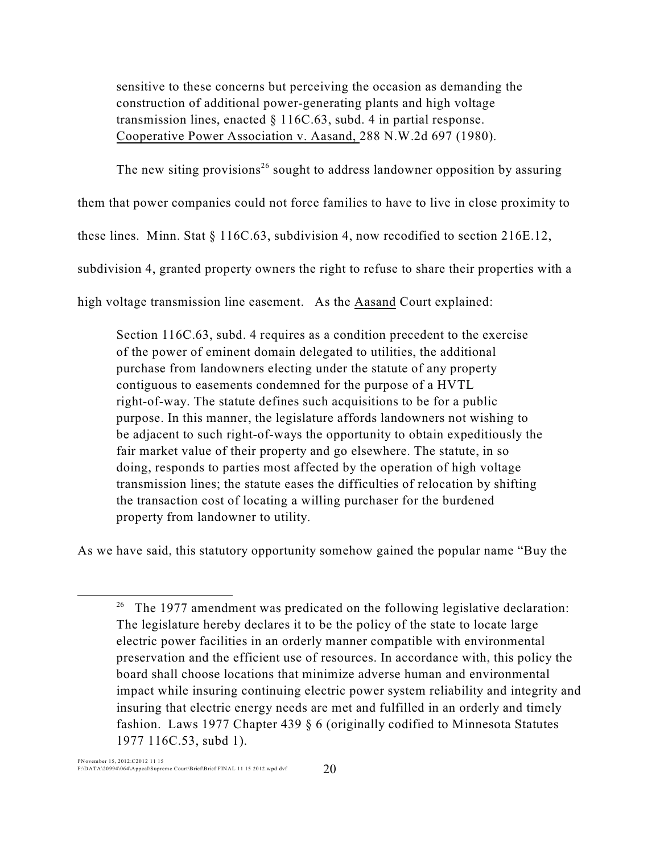sensitive to these concerns but perceiving the occasion as demanding the construction of additional power-generating plants and high voltage transmission lines, enacted  $\S 116C.63$ , subd. 4 in partial response. Cooperative Power Association v. Aasand, 288 N.W.2d 697 (1980).

The new siting provisions<sup>26</sup> sought to address landowner opposition by assuring

them that power companies could not force families to have to live in close proximity to

these lines. Minn. Stat § 116C.63, subdivision 4, now recodified to section 216E.12,

subdivision 4, granted property owners the right to refuse to share their properties with a

high voltage transmission line easement. As the Aasand Court explained:

Section 116C.63, subd. 4 requires as a condition precedent to the exercise of the power of eminent domain delegated to utilities, the additional purchase from landowners electing under the statute of any property contiguous to easements condemned for the purpose of a HVTL right-of-way. The statute defines such acquisitions to be for a public purpose. In this manner, the legislature affords landowners not wishing to be adjacent to such right-of-ways the opportunity to obtain expeditiously the fair market value of their property and go elsewhere. The statute, in so doing, responds to parties most affected by the operation of high voltage transmission lines; the statute eases the difficulties of relocation by shifting the transaction cost of locating a willing purchaser for the burdened property from landowner to utility.

As we have said, this statutory opportunity somehow gained the popular name "Buy the

<sup>&</sup>lt;sup>26</sup> The 1977 amendment was predicated on the following legislative declaration: The legislature hereby declares it to be the policy of the state to locate large electric power facilities in an orderly manner compatible with environmental preservation and the efficient use of resources. In accordance with, this policy the board shall choose locations that minimize adverse human and environmental impact while insuring continuing electric power system reliability and integrity and insuring that electric energy needs are met and fulfilled in an orderly and timely fashion. Laws 1977 Chapter 439 § 6 (originally codified to Minnesota Statutes 1977 116C.53, subd 1).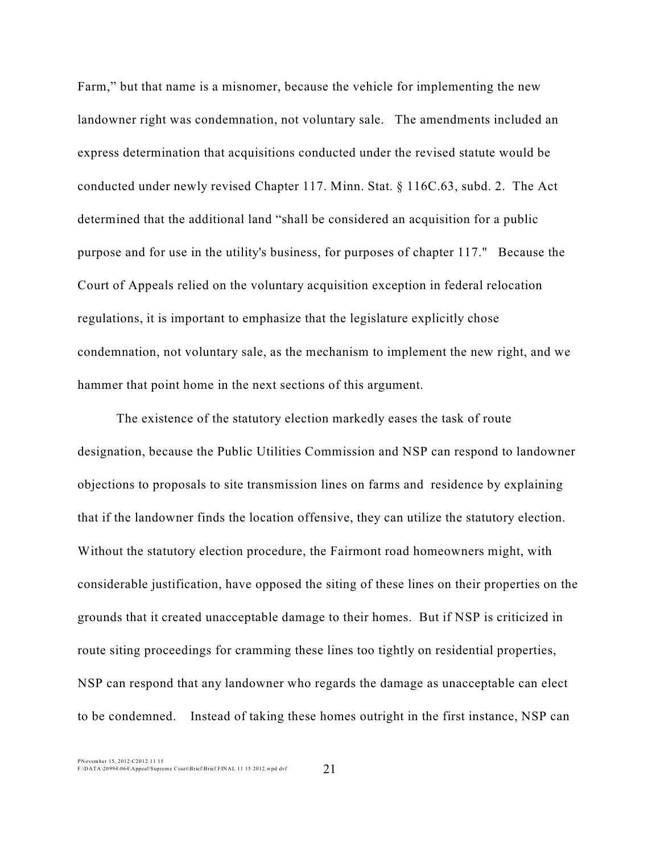Farm," but that name is a misnomer, because the vehicle for implementing the new landowner right was condemnation, not voluntary sale. The amendments included an express determination that acquisitions conducted under the revised statute would be conducted under newly revised Chapter 117. Minn. Stat. § 116C.63, subd. 2. The Act determined that the additional land "shall be considered an acquisition for a public purpose and for use in the utility's business, for purposes of chapter 117." Because the Court of Appeals relied on the voluntary acquisition exception in federal relocation regulations, it is important to emphasize that the legislature explicitly chose condemnation, not voluntary sale, as the mechanism to implement the new right, and we hammer that point home in the next sections of this argument.

The existence of the statutory election markedly eases the task of route designation, because the Public Utilities Commission and NSP can respond to landowner objections to proposals to site transmission lines on farms and residence by explaining that if the landowner finds the location offensive, they can utilize the statutory election. Without the statutory election procedure, the Fairmont road homeowners might, with considerable justification, have opposed the siting of these lines on their properties on the grounds that it created unacceptable damage to their homes. But if NSP is criticized in route siting proceedings for cramming these lines too tightly on residential properties, NSP can respond that any landowner who regards the damage as unacceptable can elect to be condemned. Instead of taking these homes outright in the first instance, NSP can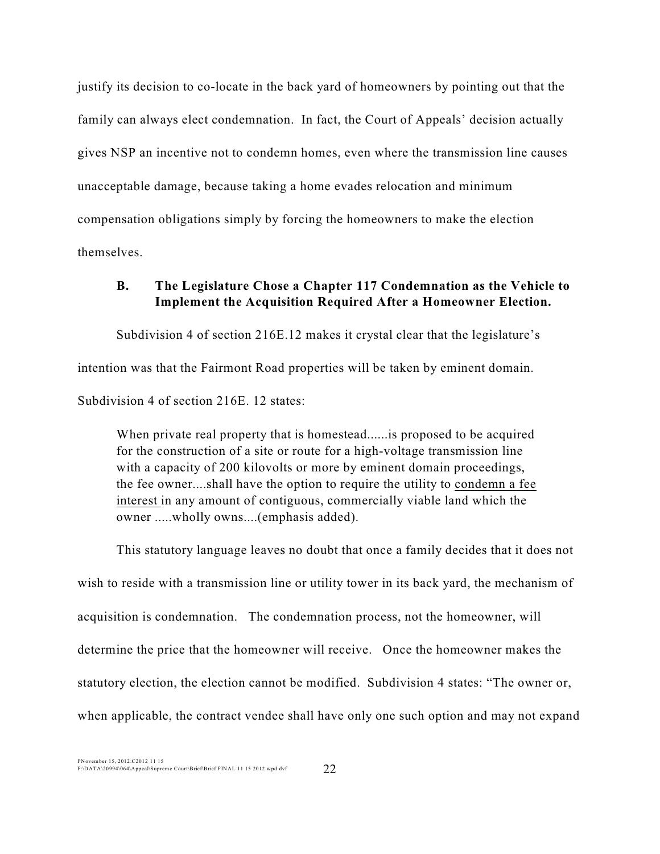justify its decision to co-locate in the back yard of homeowners by pointing out that the family can always elect condemnation. In fact, the Court of Appeals' decision actually gives NSP an incentive not to condemn homes, even where the transmission line causes unacceptable damage, because taking a home evades relocation and minimum compensation obligations simply by forcing the homeowners to make the election themselves.

### **B. The Legislature Chose a Chapter 117 Condemnation as the Vehicle to Implement the Acquisition Required After a Homeowner Election.**

Subdivision 4 of section 216E.12 makes it crystal clear that the legislature's

intention was that the Fairmont Road properties will be taken by eminent domain.

Subdivision 4 of section 216E. 12 states:

When private real property that is homestead......is proposed to be acquired for the construction of a site or route for a high-voltage transmission line with a capacity of 200 kilovolts or more by eminent domain proceedings, the fee owner....shall have the option to require the utility to condemn a fee interest in any amount of contiguous, commercially viable land which the owner .....wholly owns....(emphasis added).

This statutory language leaves no doubt that once a family decides that it does not wish to reside with a transmission line or utility tower in its back yard, the mechanism of acquisition is condemnation. The condemnation process, not the homeowner, will determine the price that the homeowner will receive. Once the homeowner makes the statutory election, the election cannot be modified. Subdivision 4 states: "The owner or, when applicable, the contract vendee shall have only one such option and may not expand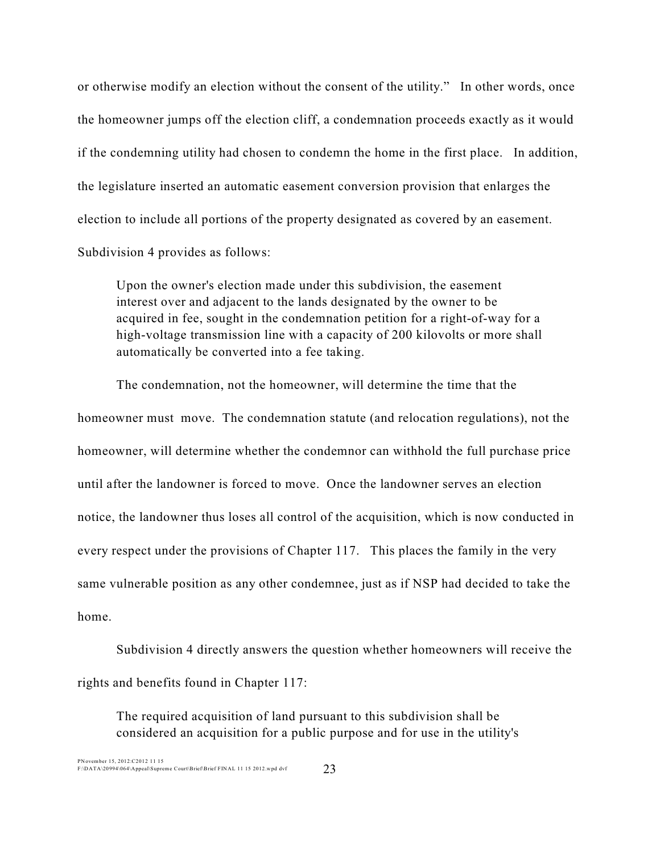or otherwise modify an election without the consent of the utility." In other words, once the homeowner jumps off the election cliff, a condemnation proceeds exactly as it would if the condemning utility had chosen to condemn the home in the first place. In addition, the legislature inserted an automatic easement conversion provision that enlarges the election to include all portions of the property designated as covered by an easement. Subdivision 4 provides as follows:

Upon the owner's election made under this subdivision, the easement interest over and adjacent to the lands designated by the owner to be acquired in fee, sought in the condemnation petition for a right-of-way for a high-voltage transmission line with a capacity of 200 kilovolts or more shall automatically be converted into a fee taking.

The condemnation, not the homeowner, will determine the time that the homeowner must move. The condemnation statute (and relocation regulations), not the homeowner, will determine whether the condemnor can withhold the full purchase price until after the landowner is forced to move. Once the landowner serves an election notice, the landowner thus loses all control of the acquisition, which is now conducted in every respect under the provisions of Chapter 117. This places the family in the very same vulnerable position as any other condemnee, just as if NSP had decided to take the home.

Subdivision 4 directly answers the question whether homeowners will receive the rights and benefits found in Chapter 117:

The required acquisition of land pursuant to this subdivision shall be considered an acquisition for a public purpose and for use in the utility's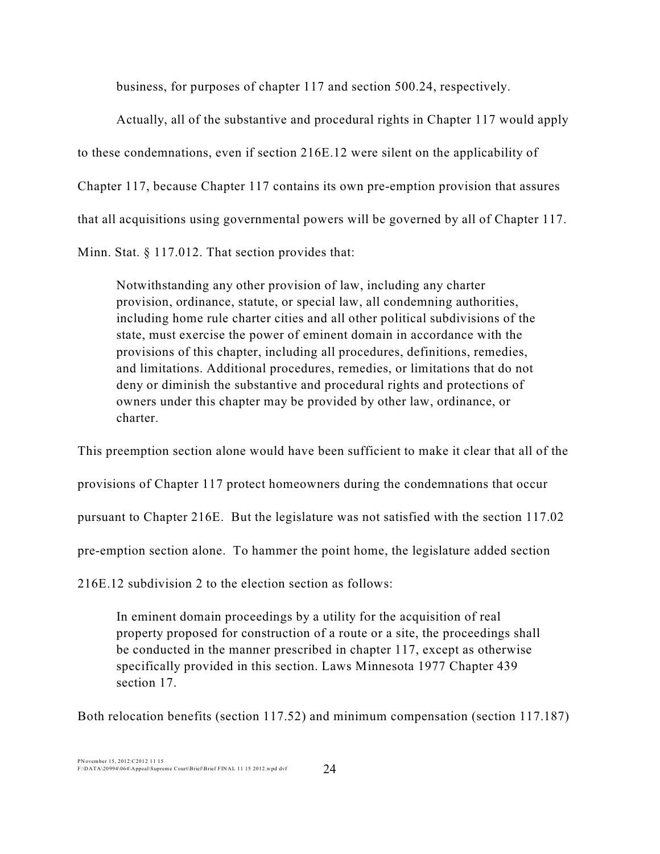business, for purposes of chapter 117 and section 500.24, respectively.

Actually, all of the substantive and procedural rights in Chapter 117 would apply to these condemnations, even if section 216E.12 were silent on the applicability of Chapter 117, because Chapter 117 contains its own pre-emption provision that assures that all acquisitions using governmental powers will be governed by all of Chapter 117. Minn. Stat. § 117.012. That section provides that:

Notwithstanding any other provision of law, including any charter provision, ordinance, statute, or special law, all condemning authorities, including home rule charter cities and all other political subdivisions of the state, must exercise the power of eminent domain in accordance with the provisions of this chapter, including all procedures, definitions, remedies, and limitations. Additional procedures, remedies, or limitations that do not deny or diminish the substantive and procedural rights and protections of owners under this chapter may be provided by other law, ordinance, or charter.

This preemption section alone would have been sufficient to make it clear that all of the provisions of Chapter 117 protect homeowners during the condemnations that occur pursuant to Chapter 216E. But the legislature was not satisfied with the section 117.02 pre-emption section alone. To hammer the point home, the legislature added section

216E.12 subdivision 2 to the election section as follows:

In eminent domain proceedings by a utility for the acquisition of real property proposed for construction of a route or a site, the proceedings shall be conducted in the manner prescribed in chapter 117, except as otherwise specifically provided in this section. Laws Minnesota 1977 Chapter 439 section 17.

Both relocation benefits (section 117.52) and minimum compensation (section 117.187)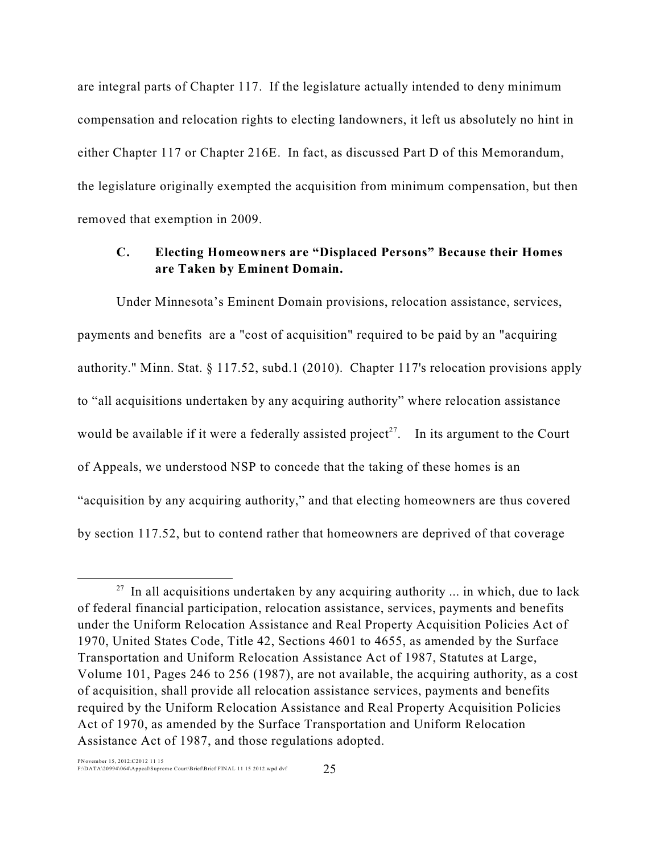are integral parts of Chapter 117. If the legislature actually intended to deny minimum compensation and relocation rights to electing landowners, it left us absolutely no hint in either Chapter 117 or Chapter 216E. In fact, as discussed Part D of this Memorandum, the legislature originally exempted the acquisition from minimum compensation, but then removed that exemption in 2009.

# **C. Electing Homeowners are "Displaced Persons" Because their Homes are Taken by Eminent Domain.**

Under Minnesota's Eminent Domain provisions, relocation assistance, services, payments and benefits are a "cost of acquisition" required to be paid by an "acquiring authority." Minn. Stat. § 117.52, subd.1 (2010). Chapter 117's relocation provisions apply to "all acquisitions undertaken by any acquiring authority" where relocation assistance would be available if it were a federally assisted project<sup>27</sup>. In its argument to the Court of Appeals, we understood NSP to concede that the taking of these homes is an "acquisition by any acquiring authority," and that electing homeowners are thus covered by section 117.52, but to contend rather that homeowners are deprived of that coverage

 $27$  In all acquisitions undertaken by any acquiring authority ... in which, due to lack of federal financial participation, relocation assistance, services, payments and benefits under the Uniform Relocation Assistance and Real Property Acquisition Policies Act of 1970, United States Code, Title 42, Sections 4601 to 4655, as amended by the Surface Transportation and Uniform Relocation Assistance Act of 1987, Statutes at Large, Volume 101, Pages 246 to 256 (1987), are not available, the acquiring authority, as a cost of acquisition, shall provide all relocation assistance services, payments and benefits required by the Uniform Relocation Assistance and Real Property Acquisition Policies Act of 1970, as amended by the Surface Transportation and Uniform Relocation Assistance Act of 1987, and those regulations adopted.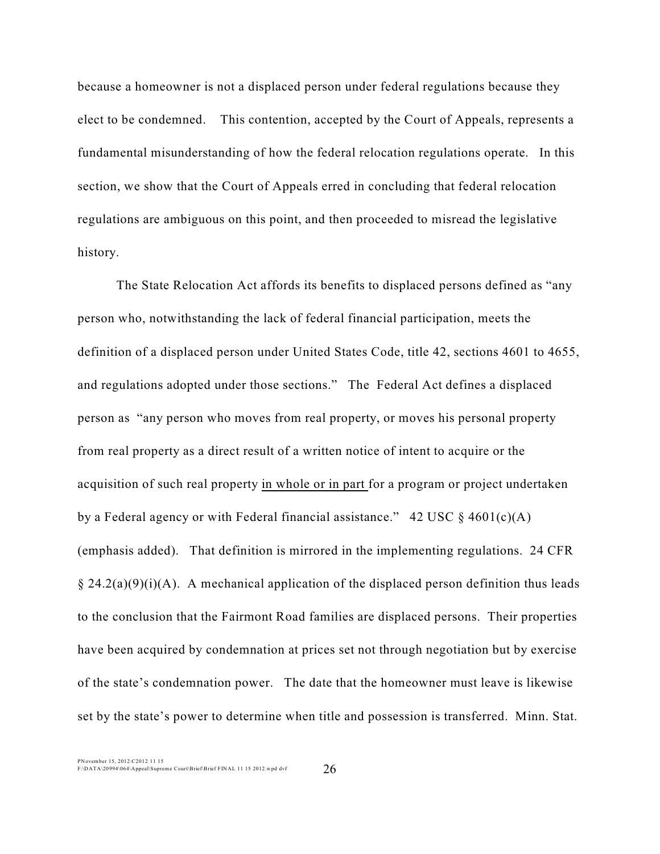because a homeowner is not a displaced person under federal regulations because they elect to be condemned. This contention, accepted by the Court of Appeals, represents a fundamental misunderstanding of how the federal relocation regulations operate. In this section, we show that the Court of Appeals erred in concluding that federal relocation regulations are ambiguous on this point, and then proceeded to misread the legislative history.

The State Relocation Act affords its benefits to displaced persons defined as "any person who, notwithstanding the lack of federal financial participation, meets the definition of a displaced person under United States Code, title 42, sections 4601 to 4655, and regulations adopted under those sections." The Federal Act defines a displaced person as "any person who moves from real property, or moves his personal property from real property as a direct result of a written notice of intent to acquire or the acquisition of such real property in whole or in part for a program or project undertaken by a Federal agency or with Federal financial assistance." 42 USC  $\S$  4601(c)(A) (emphasis added). That definition is mirrored in the implementing regulations. 24 CFR  $\S 24.2(a)(9)(i)(A)$ . A mechanical application of the displaced person definition thus leads to the conclusion that the Fairmont Road families are displaced persons. Their properties have been acquired by condemnation at prices set not through negotiation but by exercise of the state's condemnation power. The date that the homeowner must leave is likewise set by the state's power to determine when title and possession is transferred. Minn. Stat.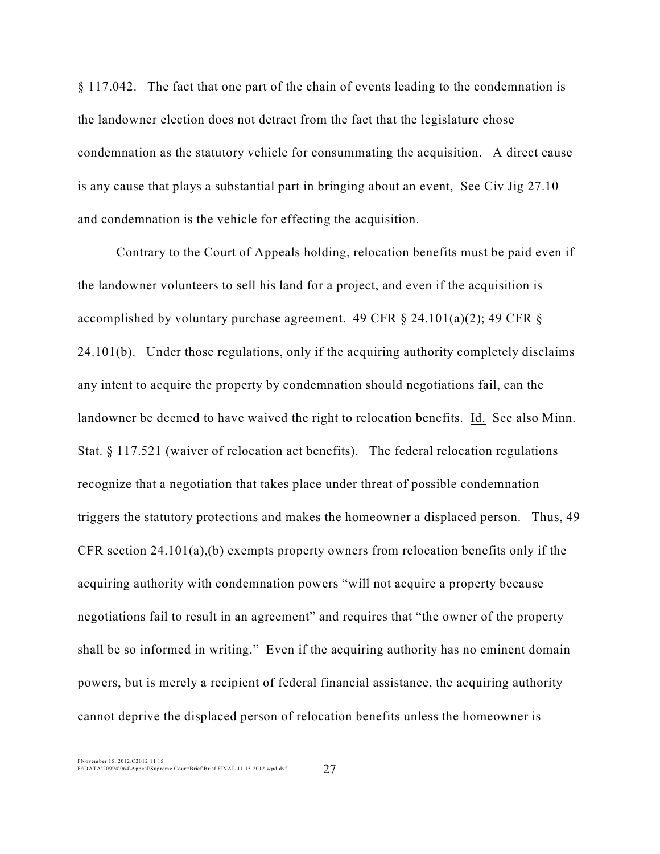§ 117.042. The fact that one part of the chain of events leading to the condemnation is the landowner election does not detract from the fact that the legislature chose condemnation as the statutory vehicle for consummating the acquisition. A direct cause is any cause that plays a substantial part in bringing about an event, See Civ Jig 27.10 and condemnation is the vehicle for effecting the acquisition.

Contrary to the Court of Appeals holding, relocation benefits must be paid even if the landowner volunteers to sell his land for a project, and even if the acquisition is accomplished by voluntary purchase agreement. 49 CFR  $\S$  24.101(a)(2); 49 CFR  $\S$ 24.101(b). Under those regulations, only if the acquiring authority completely disclaims any intent to acquire the property by condemnation should negotiations fail, can the landowner be deemed to have waived the right to relocation benefits. Id. See also Minn. Stat. § 117.521 (waiver of relocation act benefits). The federal relocation regulations recognize that a negotiation that takes place under threat of possible condemnation triggers the statutory protections and makes the homeowner a displaced person. Thus, 49 CFR section 24.101(a),(b) exempts property owners from relocation benefits only if the acquiring authority with condemnation powers "will not acquire a property because negotiations fail to result in an agreement" and requires that "the owner of the property shall be so informed in writing." Even if the acquiring authority has no eminent domain powers, but is merely a recipient of federal financial assistance, the acquiring authority cannot deprive the displaced person of relocation benefits unless the homeowner is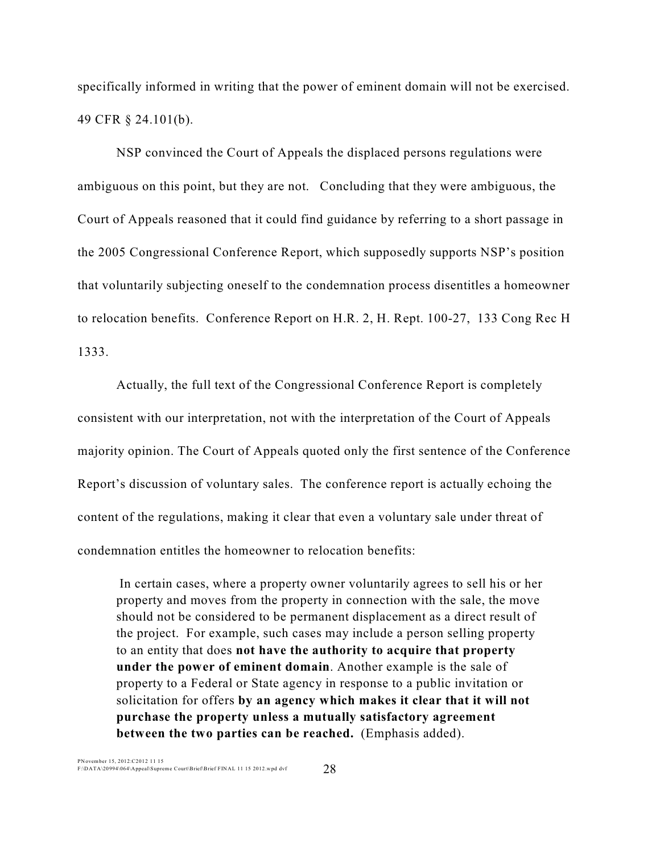specifically informed in writing that the power of eminent domain will not be exercised. 49 CFR § 24.101(b).

NSP convinced the Court of Appeals the displaced persons regulations were ambiguous on this point, but they are not. Concluding that they were ambiguous, the Court of Appeals reasoned that it could find guidance by referring to a short passage in the 2005 Congressional Conference Report, which supposedly supports NSP's position that voluntarily subjecting oneself to the condemnation process disentitles a homeowner to relocation benefits. Conference Report on H.R. 2, H. Rept. 100-27, 133 Cong Rec H 1333.

Actually, the full text of the Congressional Conference Report is completely consistent with our interpretation, not with the interpretation of the Court of Appeals majority opinion. The Court of Appeals quoted only the first sentence of the Conference Report's discussion of voluntary sales. The conference report is actually echoing the content of the regulations, making it clear that even a voluntary sale under threat of condemnation entitles the homeowner to relocation benefits:

In certain cases, where a property owner voluntarily agrees to sell his or her property and moves from the property in connection with the sale, the move should not be considered to be permanent displacement as a direct result of the project. For example, such cases may include a person selling property to an entity that does **not have the authority to acquire that property under the power of eminent domain**. Another example is the sale of property to a Federal or State agency in response to a public invitation or solicitation for offers **by an agency which makes it clear that it will not purchase the property unless a mutually satisfactory agreement between the two parties can be reached.** (Emphasis added).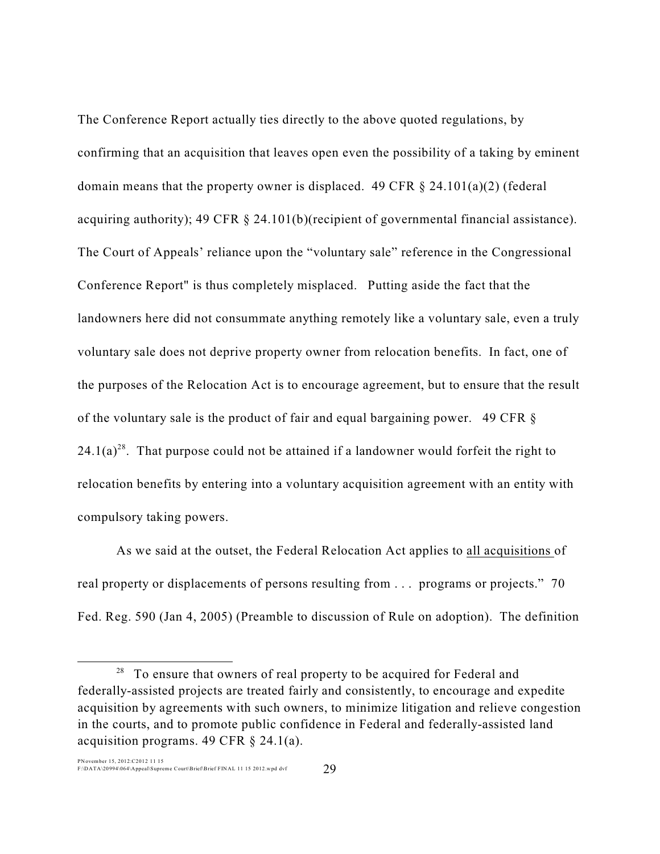The Conference Report actually ties directly to the above quoted regulations, by confirming that an acquisition that leaves open even the possibility of a taking by eminent domain means that the property owner is displaced. 49 CFR  $\S$  24.101(a)(2) (federal acquiring authority); 49 CFR § 24.101(b)(recipient of governmental financial assistance). The Court of Appeals' reliance upon the "voluntary sale" reference in the Congressional Conference Report" is thus completely misplaced. Putting aside the fact that the landowners here did not consummate anything remotely like a voluntary sale, even a truly voluntary sale does not deprive property owner from relocation benefits. In fact, one of the purposes of the Relocation Act is to encourage agreement, but to ensure that the result of the voluntary sale is the product of fair and equal bargaining power. 49 CFR §  $24.1(a)^{28}$ . That purpose could not be attained if a landowner would forfeit the right to relocation benefits by entering into a voluntary acquisition agreement with an entity with compulsory taking powers.

As we said at the outset, the Federal Relocation Act applies to all acquisitions of real property or displacements of persons resulting from . . . programs or projects." 70 Fed. Reg. 590 (Jan 4, 2005) (Preamble to discussion of Rule on adoption). The definition

 $28$  To ensure that owners of real property to be acquired for Federal and federally-assisted projects are treated fairly and consistently, to encourage and expedite acquisition by agreements with such owners, to minimize litigation and relieve congestion in the courts, and to promote public confidence in Federal and federally-assisted land acquisition programs. 49 CFR § 24.1(a).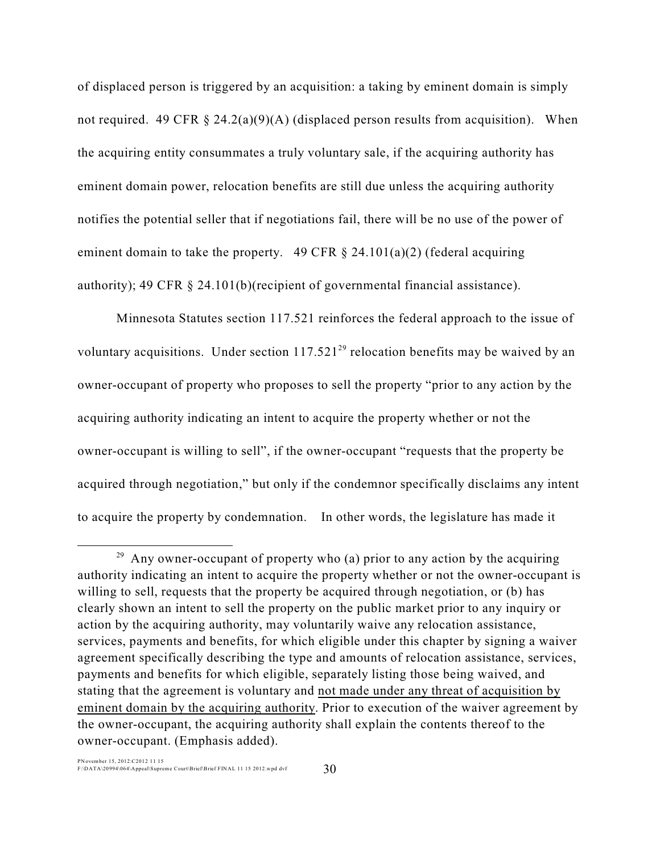of displaced person is triggered by an acquisition: a taking by eminent domain is simply not required. 49 CFR  $\S$  24.2(a)(9)(A) (displaced person results from acquisition). When the acquiring entity consummates a truly voluntary sale, if the acquiring authority has eminent domain power, relocation benefits are still due unless the acquiring authority notifies the potential seller that if negotiations fail, there will be no use of the power of eminent domain to take the property. 49 CFR  $\S$  24.101(a)(2) (federal acquiring authority); 49 CFR § 24.101(b)(recipient of governmental financial assistance).

Minnesota Statutes section 117.521 reinforces the federal approach to the issue of voluntary acquisitions. Under section  $117.521^{29}$  relocation benefits may be waived by an owner-occupant of property who proposes to sell the property "prior to any action by the acquiring authority indicating an intent to acquire the property whether or not the owner-occupant is willing to sell", if the owner-occupant "requests that the property be acquired through negotiation," but only if the condemnor specifically disclaims any intent to acquire the property by condemnation. In other words, the legislature has made it

 $29$  Any owner-occupant of property who (a) prior to any action by the acquiring authority indicating an intent to acquire the property whether or not the owner-occupant is willing to sell, requests that the property be acquired through negotiation, or (b) has clearly shown an intent to sell the property on the public market prior to any inquiry or action by the acquiring authority, may voluntarily waive any relocation assistance, services, payments and benefits, for which eligible under this chapter by signing a waiver agreement specifically describing the type and amounts of relocation assistance, services, payments and benefits for which eligible, separately listing those being waived, and stating that the agreement is voluntary and not made under any threat of acquisition by eminent domain by the acquiring authority. Prior to execution of the waiver agreement by the owner-occupant, the acquiring authority shall explain the contents thereof to the owner-occupant. (Emphasis added).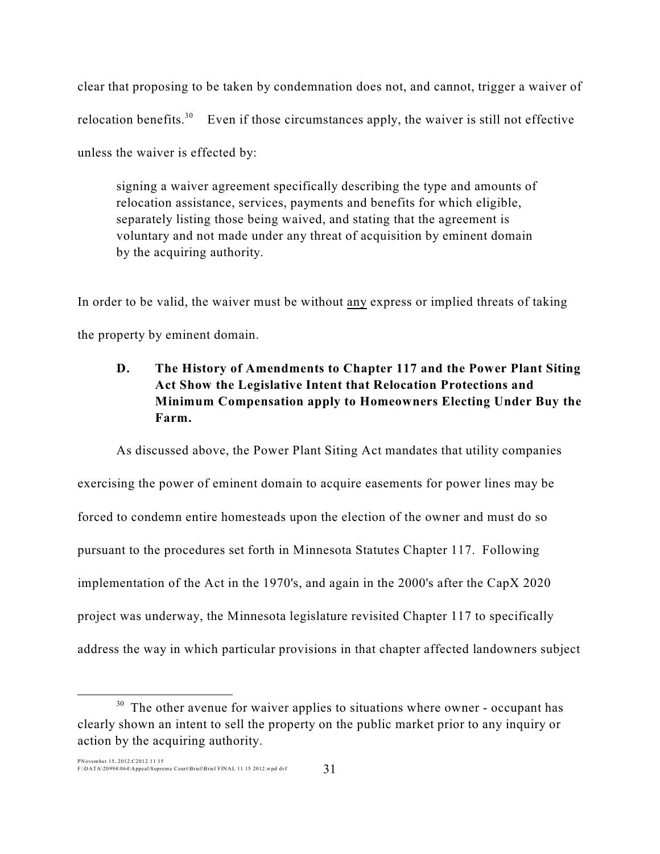clear that proposing to be taken by condemnation does not, and cannot, trigger a waiver of relocation benefits.<sup>30</sup> Even if those circumstances apply, the waiver is still not effective unless the waiver is effected by:

signing a waiver agreement specifically describing the type and amounts of relocation assistance, services, payments and benefits for which eligible, separately listing those being waived, and stating that the agreement is voluntary and not made under any threat of acquisition by eminent domain by the acquiring authority.

In order to be valid, the waiver must be without any express or implied threats of taking the property by eminent domain.

# **D. The History of Amendments to Chapter 117 and the Power Plant Siting Act Show the Legislative Intent that Relocation Protections and Minimum Compensation apply to Homeowners Electing Under Buy the Farm.**

As discussed above, the Power Plant Siting Act mandates that utility companies exercising the power of eminent domain to acquire easements for power lines may be forced to condemn entire homesteads upon the election of the owner and must do so pursuant to the procedures set forth in Minnesota Statutes Chapter 117. Following implementation of the Act in the 1970's, and again in the 2000's after the CapX 2020 project was underway, the Minnesota legislature revisited Chapter 117 to specifically address the way in which particular provisions in that chapter affected landowners subject

 $30$  The other avenue for waiver applies to situations where owner - occupant has clearly shown an intent to sell the property on the public market prior to any inquiry or action by the acquiring authority.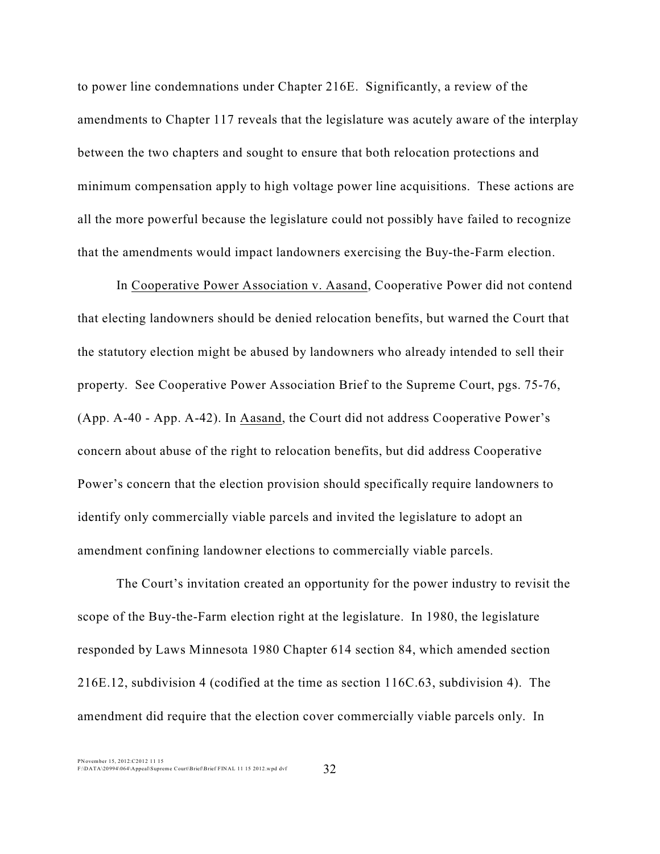to power line condemnations under Chapter 216E. Significantly, a review of the amendments to Chapter 117 reveals that the legislature was acutely aware of the interplay between the two chapters and sought to ensure that both relocation protections and minimum compensation apply to high voltage power line acquisitions. These actions are all the more powerful because the legislature could not possibly have failed to recognize that the amendments would impact landowners exercising the Buy-the-Farm election.

In Cooperative Power Association v. Aasand, Cooperative Power did not contend that electing landowners should be denied relocation benefits, but warned the Court that the statutory election might be abused by landowners who already intended to sell their property. See Cooperative Power Association Brief to the Supreme Court, pgs. 75-76, (App. A-40 - App. A-42). In Aasand, the Court did not address Cooperative Power's concern about abuse of the right to relocation benefits, but did address Cooperative Power's concern that the election provision should specifically require landowners to identify only commercially viable parcels and invited the legislature to adopt an amendment confining landowner elections to commercially viable parcels.

The Court's invitation created an opportunity for the power industry to revisit the scope of the Buy-the-Farm election right at the legislature. In 1980, the legislature responded by Laws Minnesota 1980 Chapter 614 section 84, which amended section 216E.12, subdivision 4 (codified at the time as section 116C.63, subdivision 4). The amendment did require that the election cover commercially viable parcels only. In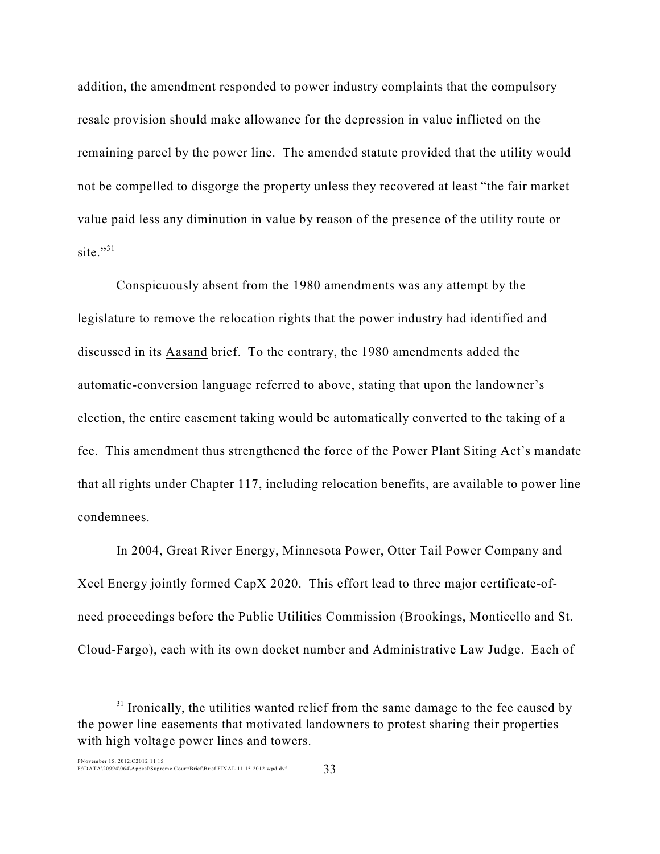addition, the amendment responded to power industry complaints that the compulsory resale provision should make allowance for the depression in value inflicted on the remaining parcel by the power line. The amended statute provided that the utility would not be compelled to disgorge the property unless they recovered at least "the fair market value paid less any diminution in value by reason of the presence of the utility route or site." $31$ 

Conspicuously absent from the 1980 amendments was any attempt by the legislature to remove the relocation rights that the power industry had identified and discussed in its Aasand brief. To the contrary, the 1980 amendments added the automatic-conversion language referred to above, stating that upon the landowner's election, the entire easement taking would be automatically converted to the taking of a fee. This amendment thus strengthened the force of the Power Plant Siting Act's mandate that all rights under Chapter 117, including relocation benefits, are available to power line condemnees.

In 2004, Great River Energy, Minnesota Power, Otter Tail Power Company and Xcel Energy jointly formed CapX 2020. This effort lead to three major certificate-ofneed proceedings before the Public Utilities Commission (Brookings, Monticello and St. Cloud-Fargo), each with its own docket number and Administrative Law Judge. Each of

 $31$  Ironically, the utilities wanted relief from the same damage to the fee caused by the power line easements that motivated landowners to protest sharing their properties with high voltage power lines and towers.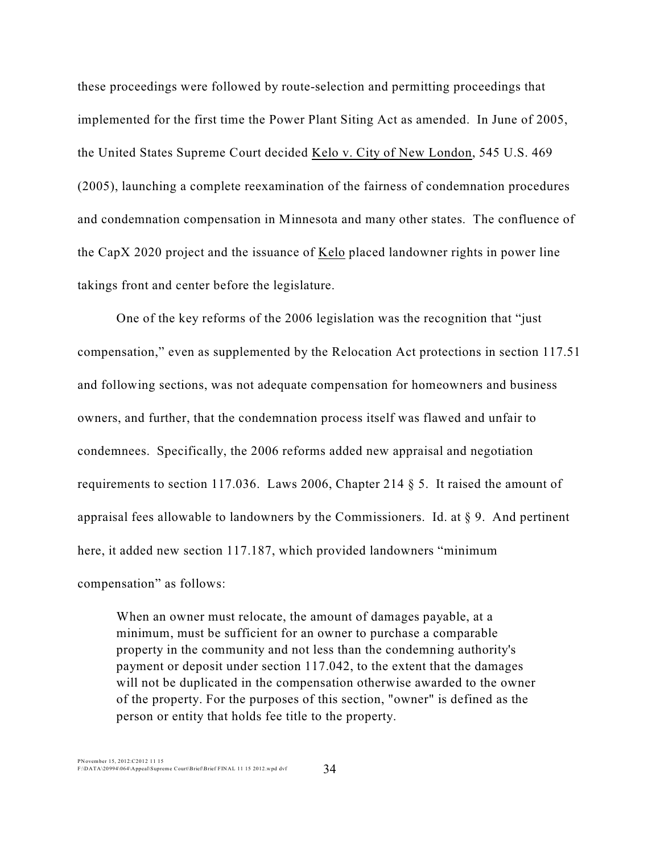these proceedings were followed by route-selection and permitting proceedings that implemented for the first time the Power Plant Siting Act as amended. In June of 2005, the United States Supreme Court decided Kelo v. City of New London, 545 U.S. 469 (2005), launching a complete reexamination of the fairness of condemnation procedures and condemnation compensation in Minnesota and many other states. The confluence of the CapX 2020 project and the issuance of Kelo placed landowner rights in power line takings front and center before the legislature.

One of the key reforms of the 2006 legislation was the recognition that "just compensation," even as supplemented by the Relocation Act protections in section 117.51 and following sections, was not adequate compensation for homeowners and business owners, and further, that the condemnation process itself was flawed and unfair to condemnees. Specifically, the 2006 reforms added new appraisal and negotiation requirements to section 117.036. Laws 2006, Chapter 214 § 5. It raised the amount of appraisal fees allowable to landowners by the Commissioners. Id. at  $\S$  9. And pertinent here, it added new section 117.187, which provided landowners "minimum compensation" as follows:

When an owner must relocate, the amount of damages payable, at a minimum, must be sufficient for an owner to purchase a comparable property in the community and not less than the condemning authority's payment or deposit under section 117.042, to the extent that the damages will not be duplicated in the compensation otherwise awarded to the owner of the property. For the purposes of this section, "owner" is defined as the person or entity that holds fee title to the property.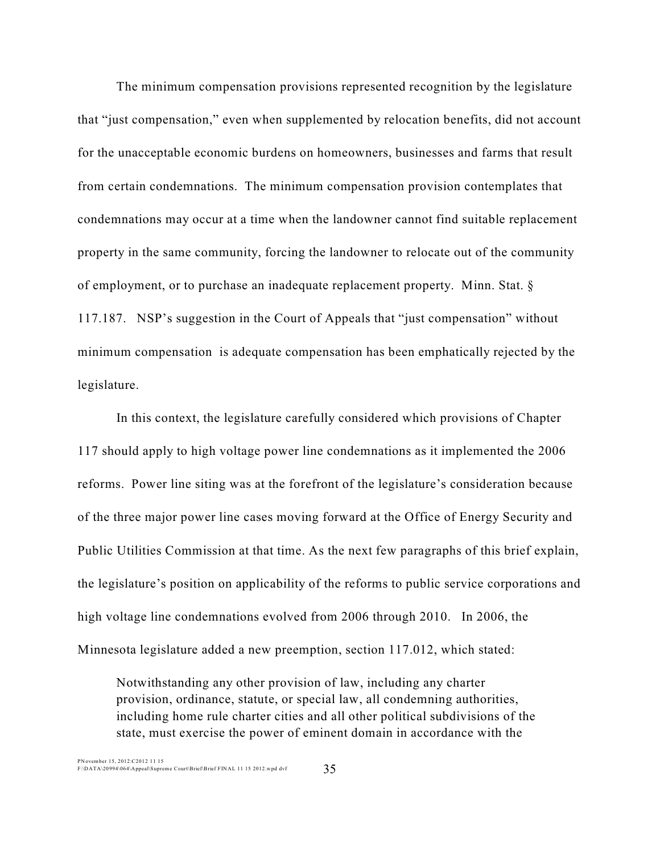The minimum compensation provisions represented recognition by the legislature that "just compensation," even when supplemented by relocation benefits, did not account for the unacceptable economic burdens on homeowners, businesses and farms that result from certain condemnations. The minimum compensation provision contemplates that condemnations may occur at a time when the landowner cannot find suitable replacement property in the same community, forcing the landowner to relocate out of the community of employment, or to purchase an inadequate replacement property. Minn. Stat. § 117.187. NSP's suggestion in the Court of Appeals that "just compensation" without minimum compensation is adequate compensation has been emphatically rejected by the legislature.

In this context, the legislature carefully considered which provisions of Chapter 117 should apply to high voltage power line condemnations as it implemented the 2006 reforms. Power line siting was at the forefront of the legislature's consideration because of the three major power line cases moving forward at the Office of Energy Security and Public Utilities Commission at that time. As the next few paragraphs of this brief explain, the legislature's position on applicability of the reforms to public service corporations and high voltage line condemnations evolved from 2006 through 2010. In 2006, the Minnesota legislature added a new preemption, section 117.012, which stated:

Notwithstanding any other provision of law, including any charter provision, ordinance, statute, or special law, all condemning authorities, including home rule charter cities and all other political subdivisions of the state, must exercise the power of eminent domain in accordance with the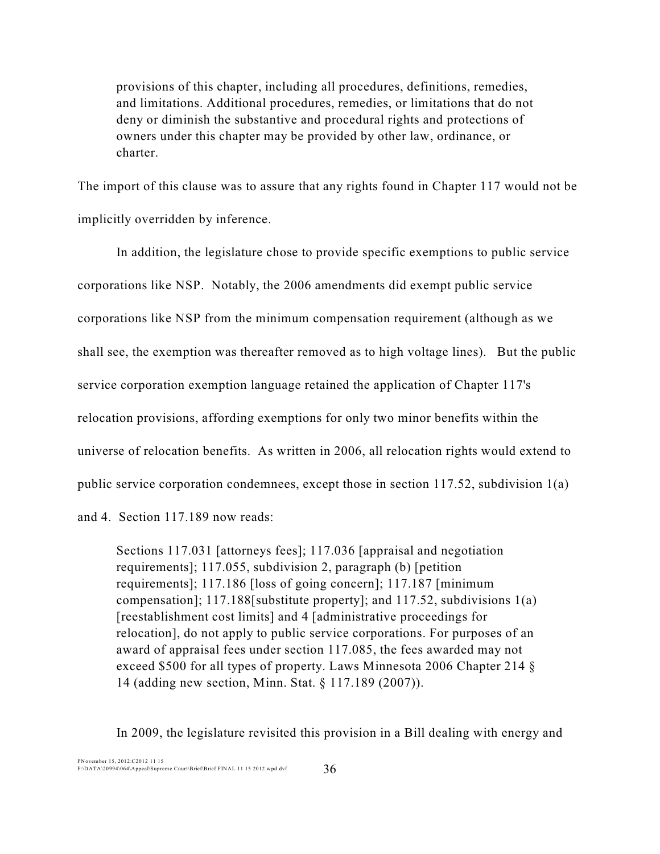provisions of this chapter, including all procedures, definitions, remedies, and limitations. Additional procedures, remedies, or limitations that do not deny or diminish the substantive and procedural rights and protections of owners under this chapter may be provided by other law, ordinance, or charter.

The import of this clause was to assure that any rights found in Chapter 117 would not be implicitly overridden by inference.

In addition, the legislature chose to provide specific exemptions to public service corporations like NSP. Notably, the 2006 amendments did exempt public service corporations like NSP from the minimum compensation requirement (although as we shall see, the exemption was thereafter removed as to high voltage lines). But the public service corporation exemption language retained the application of Chapter 117's relocation provisions, affording exemptions for only two minor benefits within the universe of relocation benefits. As written in 2006, all relocation rights would extend to public service corporation condemnees, except those in section 117.52, subdivision 1(a) and 4. Section 117.189 now reads:

Sections 117.031 [attorneys fees]; 117.036 [appraisal and negotiation requirements]; 117.055, subdivision 2, paragraph (b) [petition requirements]; 117.186 [loss of going concern]; 117.187 [minimum compensation]; 117.188[substitute property]; and 117.52, subdivisions 1(a) [reestablishment cost limits] and 4 [administrative proceedings for relocation], do not apply to public service corporations. For purposes of an award of appraisal fees under section 117.085, the fees awarded may not exceed \$500 for all types of property. Laws Minnesota 2006 Chapter 214 § 14 (adding new section, Minn. Stat. § 117.189 (2007)).

In 2009, the legislature revisited this provision in a Bill dealing with energy and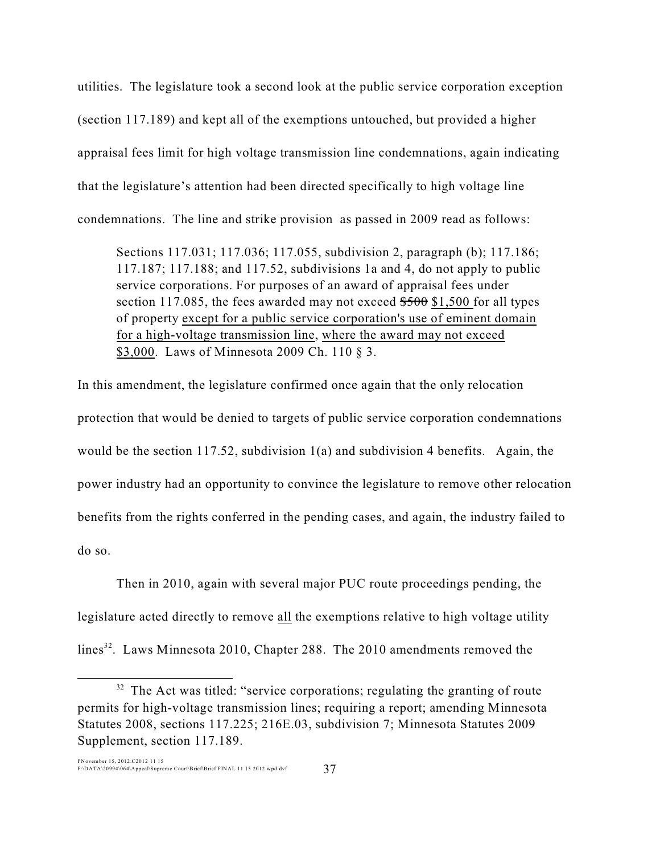utilities. The legislature took a second look at the public service corporation exception (section 117.189) and kept all of the exemptions untouched, but provided a higher appraisal fees limit for high voltage transmission line condemnations, again indicating that the legislature's attention had been directed specifically to high voltage line condemnations. The line and strike provision as passed in 2009 read as follows:

Sections 117.031; 117.036; 117.055, subdivision 2, paragraph (b); 117.186; 117.187; 117.188; and 117.52, subdivisions 1a and 4, do not apply to public service corporations. For purposes of an award of appraisal fees under section 117.085, the fees awarded may not exceed  $$500$  \$1,500 for all types of property except for a public service corporation's use of eminent domain for a high-voltage transmission line, where the award may not exceed \$3,000. Laws of Minnesota 2009 Ch. 110 § 3.

In this amendment, the legislature confirmed once again that the only relocation protection that would be denied to targets of public service corporation condemnations would be the section 117.52, subdivision 1(a) and subdivision 4 benefits. Again, the power industry had an opportunity to convince the legislature to remove other relocation benefits from the rights conferred in the pending cases, and again, the industry failed to do so.

Then in 2010, again with several major PUC route proceedings pending, the legislature acted directly to remove all the exemptions relative to high voltage utility lines $^{32}$ . Laws Minnesota 2010, Chapter 288. The 2010 amendments removed the

 $32$  The Act was titled: "service corporations; regulating the granting of route permits for high-voltage transmission lines; requiring a report; amending Minnesota Statutes 2008, sections 117.225; 216E.03, subdivision 7; Minnesota Statutes 2009 Supplement, section 117.189.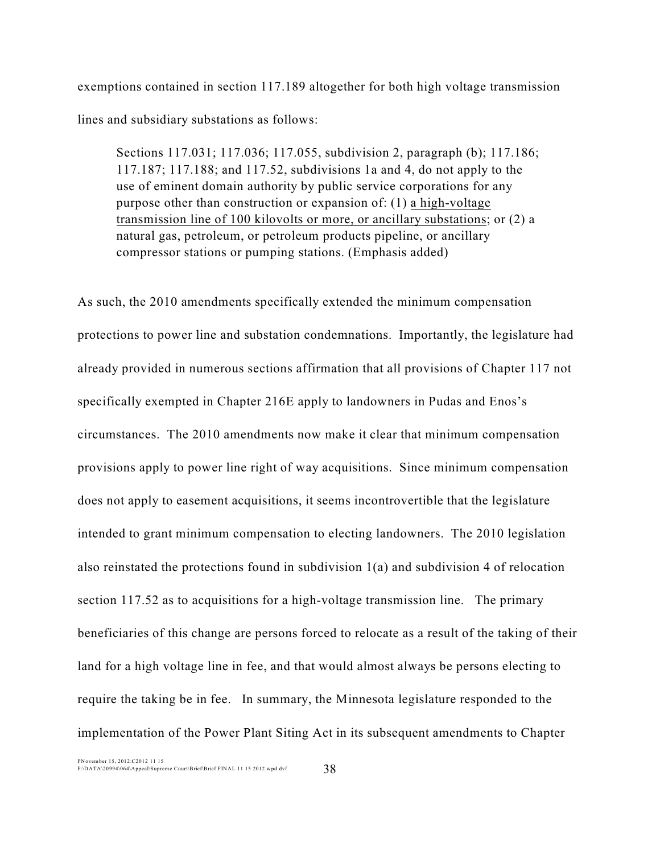exemptions contained in section 117.189 altogether for both high voltage transmission lines and subsidiary substations as follows:

Sections 117.031; 117.036; 117.055, subdivision 2, paragraph (b); 117.186; 117.187; 117.188; and 117.52, subdivisions 1a and 4, do not apply to the use of eminent domain authority by public service corporations for any purpose other than construction or expansion of: (1) a high-voltage transmission line of 100 kilovolts or more, or ancillary substations; or (2) a natural gas, petroleum, or petroleum products pipeline, or ancillary compressor stations or pumping stations. (Emphasis added)

As such, the 2010 amendments specifically extended the minimum compensation protections to power line and substation condemnations. Importantly, the legislature had already provided in numerous sections affirmation that all provisions of Chapter 117 not specifically exempted in Chapter 216E apply to landowners in Pudas and Enos's circumstances. The 2010 amendments now make it clear that minimum compensation provisions apply to power line right of way acquisitions. Since minimum compensation does not apply to easement acquisitions, it seems incontrovertible that the legislature intended to grant minimum compensation to electing landowners. The 2010 legislation also reinstated the protections found in subdivision 1(a) and subdivision 4 of relocation section 117.52 as to acquisitions for a high-voltage transmission line. The primary beneficiaries of this change are persons forced to relocate as a result of the taking of their land for a high voltage line in fee, and that would almost always be persons electing to require the taking be in fee. In summary, the Minnesota legislature responded to the implementation of the Power Plant Siting Act in its subsequent amendments to Chapter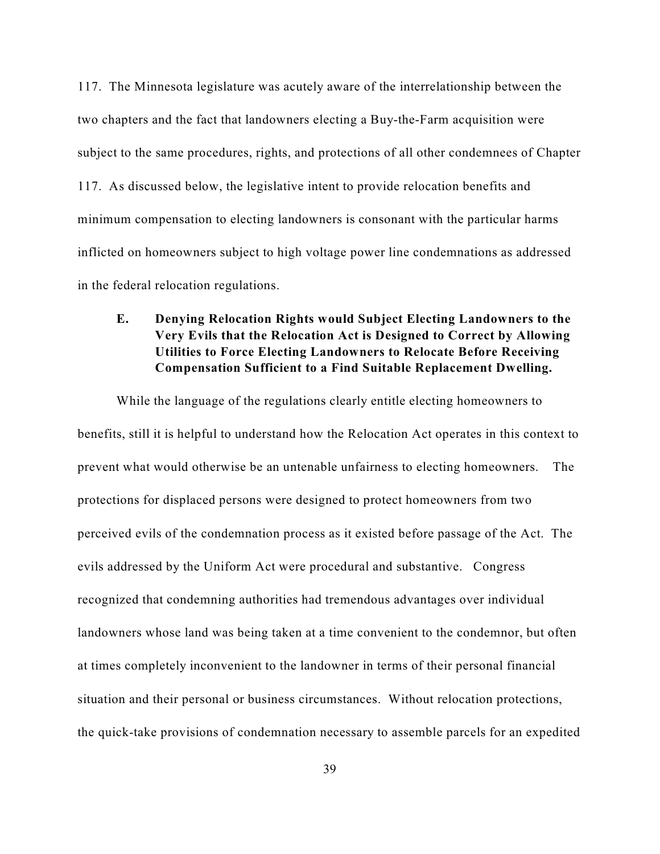117. The Minnesota legislature was acutely aware of the interrelationship between the two chapters and the fact that landowners electing a Buy-the-Farm acquisition were subject to the same procedures, rights, and protections of all other condemnees of Chapter 117. As discussed below, the legislative intent to provide relocation benefits and minimum compensation to electing landowners is consonant with the particular harms inflicted on homeowners subject to high voltage power line condemnations as addressed in the federal relocation regulations.

# **E. Denying Relocation Rights would Subject Electing Landowners to the Very Evils that the Relocation Act is Designed to Correct by Allowing Utilities to Force Electing Landowners to Relocate Before Receiving Compensation Sufficient to a Find Suitable Replacement Dwelling.**

While the language of the regulations clearly entitle electing homeowners to benefits, still it is helpful to understand how the Relocation Act operates in this context to prevent what would otherwise be an untenable unfairness to electing homeowners. The protections for displaced persons were designed to protect homeowners from two perceived evils of the condemnation process as it existed before passage of the Act. The evils addressed by the Uniform Act were procedural and substantive. Congress recognized that condemning authorities had tremendous advantages over individual landowners whose land was being taken at a time convenient to the condemnor, but often at times completely inconvenient to the landowner in terms of their personal financial situation and their personal or business circumstances. Without relocation protections, the quick-take provisions of condemnation necessary to assemble parcels for an expedited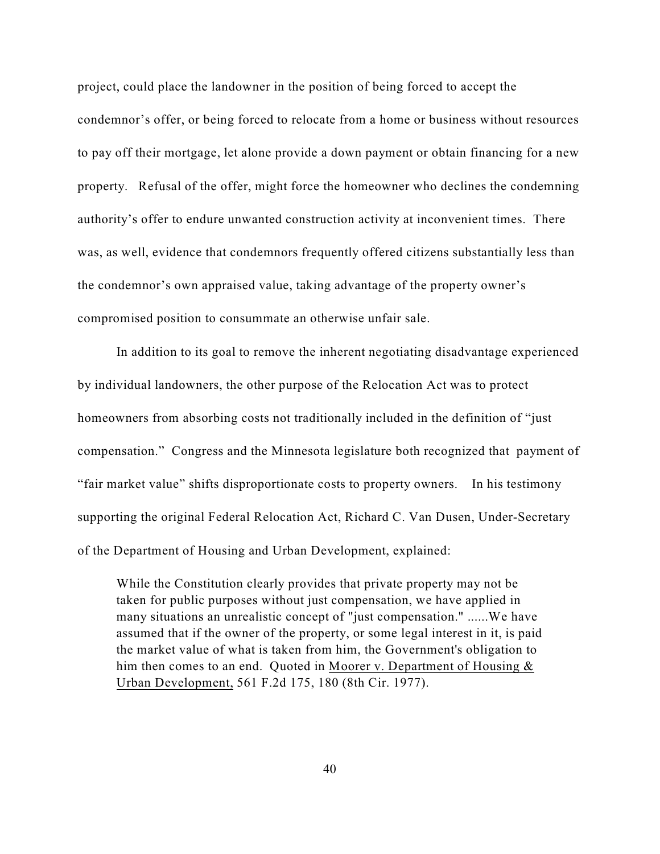project, could place the landowner in the position of being forced to accept the condemnor's offer, or being forced to relocate from a home or business without resources to pay off their mortgage, let alone provide a down payment or obtain financing for a new property. Refusal of the offer, might force the homeowner who declines the condemning authority's offer to endure unwanted construction activity at inconvenient times. There was, as well, evidence that condemnors frequently offered citizens substantially less than the condemnor's own appraised value, taking advantage of the property owner's compromised position to consummate an otherwise unfair sale.

In addition to its goal to remove the inherent negotiating disadvantage experienced by individual landowners, the other purpose of the Relocation Act was to protect homeowners from absorbing costs not traditionally included in the definition of "just compensation." Congress and the Minnesota legislature both recognized that payment of "fair market value" shifts disproportionate costs to property owners. In his testimony supporting the original Federal Relocation Act, Richard C. Van Dusen, Under-Secretary of the Department of Housing and Urban Development, explained:

While the Constitution clearly provides that private property may not be taken for public purposes without just compensation, we have applied in many situations an unrealistic concept of "just compensation." ......We have assumed that if the owner of the property, or some legal interest in it, is paid the market value of what is taken from him, the Government's obligation to him then comes to an end. Quoted in Moorer v. Department of Housing  $\&$ Urban Development, 561 F.2d 175, 180 (8th Cir. 1977).

40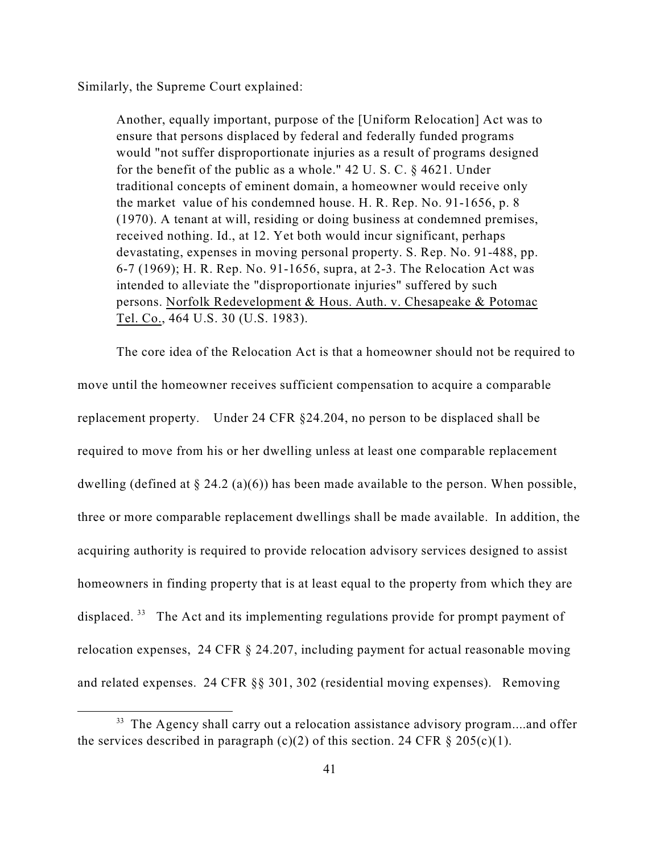Similarly, the Supreme Court explained:

Another, equally important, purpose of the [Uniform Relocation] Act was to ensure that persons displaced by federal and federally funded programs would "not suffer disproportionate injuries as a result of programs designed for the benefit of the public as a whole." 42 U. S. C. § 4621. Under traditional concepts of eminent domain, a homeowner would receive only the market value of his condemned house. H. R. Rep. No. 91-1656, p. 8 (1970). A tenant at will, residing or doing business at condemned premises, received nothing. Id., at 12. Yet both would incur significant, perhaps devastating, expenses in moving personal property. S. Rep. No. 91-488, pp. 6-7 (1969); H. R. Rep. No. 91-1656, supra, at 2-3. The Relocation Act was intended to alleviate the "disproportionate injuries" suffered by such persons. Norfolk Redevelopment & Hous. Auth. v. Chesapeake & Potomac Tel. Co., 464 U.S. 30 (U.S. 1983).

The core idea of the Relocation Act is that a homeowner should not be required to move until the homeowner receives sufficient compensation to acquire a comparable replacement property. Under 24 CFR §24.204, no person to be displaced shall be required to move from his or her dwelling unless at least one comparable replacement dwelling (defined at  $\S 24.2$  (a)(6)) has been made available to the person. When possible, three or more comparable replacement dwellings shall be made available. In addition, the acquiring authority is required to provide relocation advisory services designed to assist homeowners in finding property that is at least equal to the property from which they are displaced. <sup>33</sup> The Act and its implementing regulations provide for prompt payment of relocation expenses, 24 CFR § 24.207, including payment for actual reasonable moving and related expenses. 24 CFR §§ 301, 302 (residential moving expenses). Removing

<sup>&</sup>lt;sup>33</sup> The Agency shall carry out a relocation assistance advisory program....and offer the services described in paragraph (c)(2) of this section. 24 CFR  $\S 205(c)(1)$ .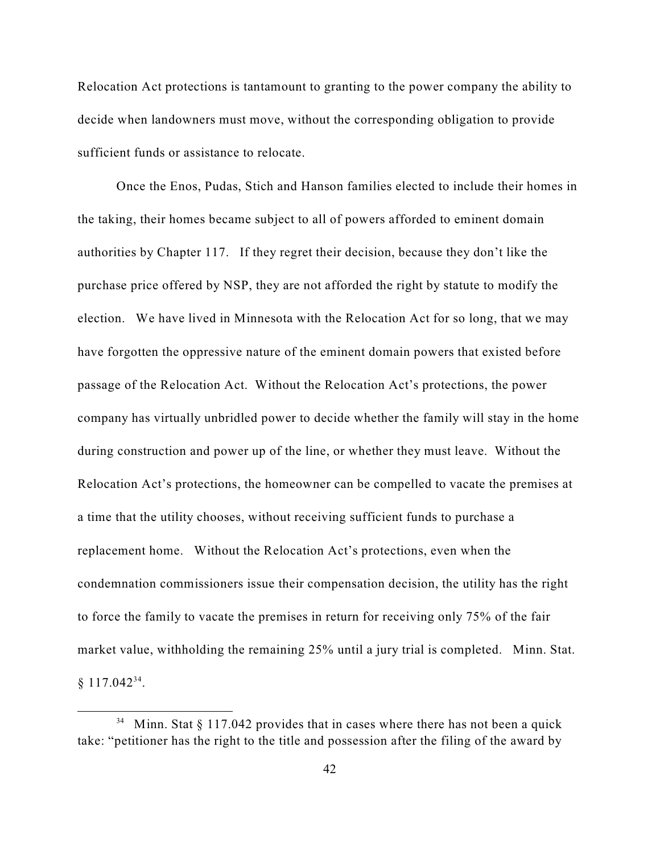Relocation Act protections is tantamount to granting to the power company the ability to decide when landowners must move, without the corresponding obligation to provide sufficient funds or assistance to relocate.

Once the Enos, Pudas, Stich and Hanson families elected to include their homes in the taking, their homes became subject to all of powers afforded to eminent domain authorities by Chapter 117. If they regret their decision, because they don't like the purchase price offered by NSP, they are not afforded the right by statute to modify the election. We have lived in Minnesota with the Relocation Act for so long, that we may have forgotten the oppressive nature of the eminent domain powers that existed before passage of the Relocation Act. Without the Relocation Act's protections, the power company has virtually unbridled power to decide whether the family will stay in the home during construction and power up of the line, or whether they must leave. Without the Relocation Act's protections, the homeowner can be compelled to vacate the premises at a time that the utility chooses, without receiving sufficient funds to purchase a replacement home. Without the Relocation Act's protections, even when the condemnation commissioners issue their compensation decision, the utility has the right to force the family to vacate the premises in return for receiving only 75% of the fair market value, withholding the remaining 25% until a jury trial is completed. Minn. Stat.  $§ 117.042<sup>34</sup>$ .

<sup>&</sup>lt;sup>34</sup> Minn. Stat § 117.042 provides that in cases where there has not been a quick take: "petitioner has the right to the title and possession after the filing of the award by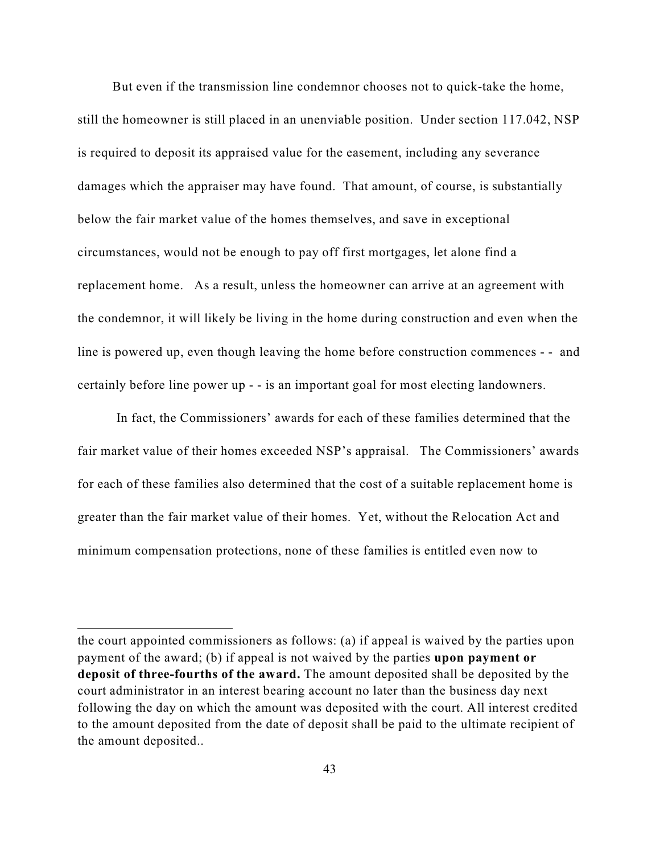But even if the transmission line condemnor chooses not to quick-take the home, still the homeowner is still placed in an unenviable position. Under section 117.042, NSP is required to deposit its appraised value for the easement, including any severance damages which the appraiser may have found. That amount, of course, is substantially below the fair market value of the homes themselves, and save in exceptional circumstances, would not be enough to pay off first mortgages, let alone find a replacement home. As a result, unless the homeowner can arrive at an agreement with the condemnor, it will likely be living in the home during construction and even when the line is powered up, even though leaving the home before construction commences - - and certainly before line power up - - is an important goal for most electing landowners.

In fact, the Commissioners' awards for each of these families determined that the fair market value of their homes exceeded NSP's appraisal. The Commissioners' awards for each of these families also determined that the cost of a suitable replacement home is greater than the fair market value of their homes. Yet, without the Relocation Act and minimum compensation protections, none of these families is entitled even now to

the court appointed commissioners as follows: (a) if appeal is waived by the parties upon payment of the award; (b) if appeal is not waived by the parties **upon payment or deposit of three-fourths of the award.** The amount deposited shall be deposited by the court administrator in an interest bearing account no later than the business day next following the day on which the amount was deposited with the court. All interest credited to the amount deposited from the date of deposit shall be paid to the ultimate recipient of the amount deposited..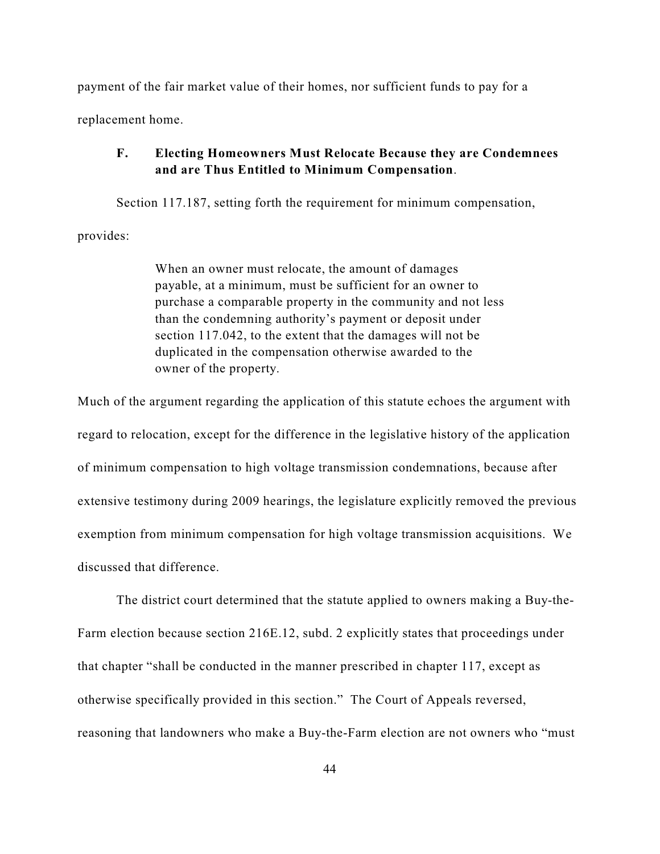payment of the fair market value of their homes, nor sufficient funds to pay for a replacement home.

#### **F. Electing Homeowners Must Relocate Because they are Condemnees and are Thus Entitled to Minimum Compensation**.

Section 117.187, setting forth the requirement for minimum compensation, provides:

> When an owner must relocate, the amount of damages payable, at a minimum, must be sufficient for an owner to purchase a comparable property in the community and not less than the condemning authority's payment or deposit under section 117.042, to the extent that the damages will not be duplicated in the compensation otherwise awarded to the owner of the property.

Much of the argument regarding the application of this statute echoes the argument with regard to relocation, except for the difference in the legislative history of the application of minimum compensation to high voltage transmission condemnations, because after extensive testimony during 2009 hearings, the legislature explicitly removed the previous exemption from minimum compensation for high voltage transmission acquisitions. We discussed that difference.

The district court determined that the statute applied to owners making a Buy-the-Farm election because section 216E.12, subd. 2 explicitly states that proceedings under that chapter "shall be conducted in the manner prescribed in chapter 117, except as otherwise specifically provided in this section." The Court of Appeals reversed, reasoning that landowners who make a Buy-the-Farm election are not owners who "must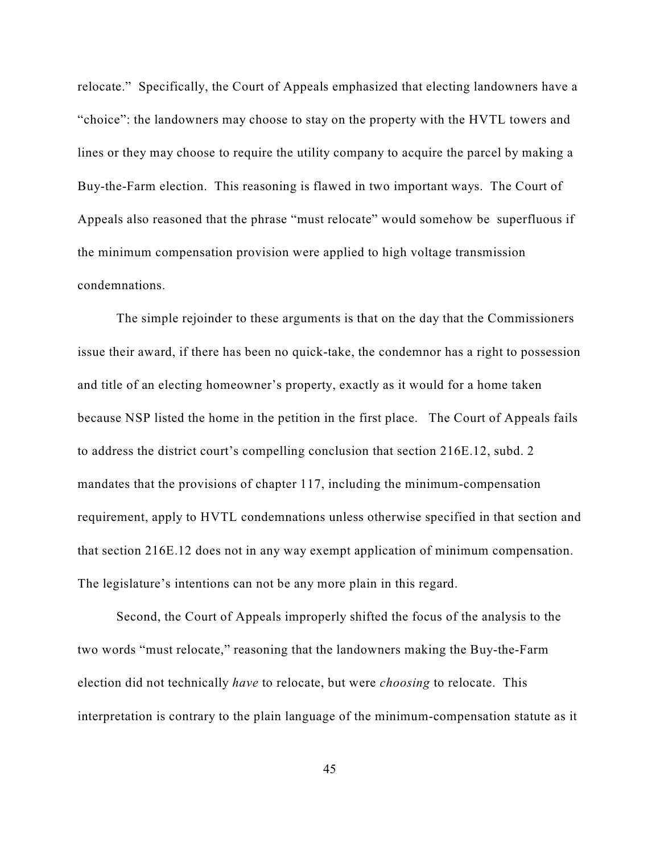relocate." Specifically, the Court of Appeals emphasized that electing landowners have a "choice": the landowners may choose to stay on the property with the HVTL towers and lines or they may choose to require the utility company to acquire the parcel by making a Buy-the-Farm election. This reasoning is flawed in two important ways. The Court of Appeals also reasoned that the phrase "must relocate" would somehow be superfluous if the minimum compensation provision were applied to high voltage transmission condemnations.

The simple rejoinder to these arguments is that on the day that the Commissioners issue their award, if there has been no quick-take, the condemnor has a right to possession and title of an electing homeowner's property, exactly as it would for a home taken because NSP listed the home in the petition in the first place. The Court of Appeals fails to address the district court's compelling conclusion that section 216E.12, subd. 2 mandates that the provisions of chapter 117, including the minimum-compensation requirement, apply to HVTL condemnations unless otherwise specified in that section and that section 216E.12 does not in any way exempt application of minimum compensation. The legislature's intentions can not be any more plain in this regard.

Second, the Court of Appeals improperly shifted the focus of the analysis to the two words "must relocate," reasoning that the landowners making the Buy-the-Farm election did not technically *have* to relocate, but were *choosing* to relocate. This interpretation is contrary to the plain language of the minimum-compensation statute as it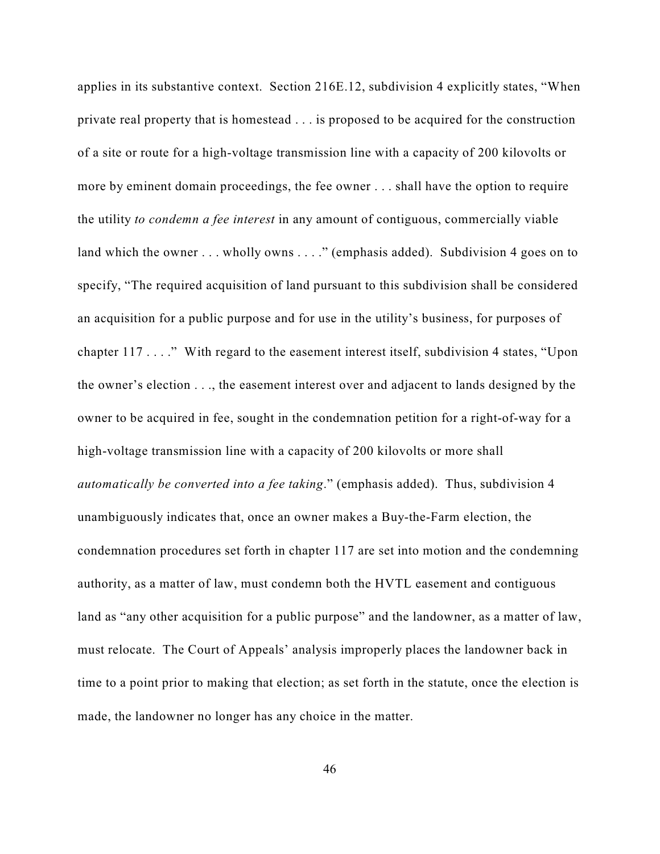applies in its substantive context. Section 216E.12, subdivision 4 explicitly states, "When private real property that is homestead . . . is proposed to be acquired for the construction of a site or route for a high-voltage transmission line with a capacity of 200 kilovolts or more by eminent domain proceedings, the fee owner . . . shall have the option to require the utility *to condemn a fee interest* in any amount of contiguous, commercially viable land which the owner . . . wholly owns . . . ." (emphasis added). Subdivision 4 goes on to specify, "The required acquisition of land pursuant to this subdivision shall be considered an acquisition for a public purpose and for use in the utility's business, for purposes of chapter 117 . . . ." With regard to the easement interest itself, subdivision 4 states, "Upon the owner's election . . ., the easement interest over and adjacent to lands designed by the owner to be acquired in fee, sought in the condemnation petition for a right-of-way for a high-voltage transmission line with a capacity of 200 kilovolts or more shall *automatically be converted into a fee taking*." (emphasis added). Thus, subdivision 4 unambiguously indicates that, once an owner makes a Buy-the-Farm election, the condemnation procedures set forth in chapter 117 are set into motion and the condemning authority, as a matter of law, must condemn both the HVTL easement and contiguous land as "any other acquisition for a public purpose" and the landowner, as a matter of law, must relocate. The Court of Appeals' analysis improperly places the landowner back in time to a point prior to making that election; as set forth in the statute, once the election is made, the landowner no longer has any choice in the matter.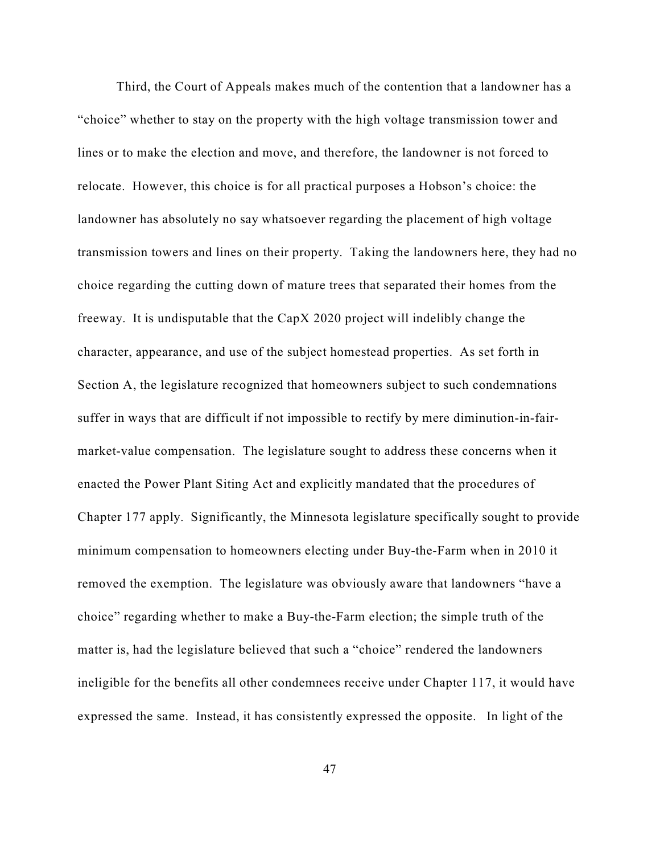Third, the Court of Appeals makes much of the contention that a landowner has a "choice" whether to stay on the property with the high voltage transmission tower and lines or to make the election and move, and therefore, the landowner is not forced to relocate. However, this choice is for all practical purposes a Hobson's choice: the landowner has absolutely no say whatsoever regarding the placement of high voltage transmission towers and lines on their property. Taking the landowners here, they had no choice regarding the cutting down of mature trees that separated their homes from the freeway. It is undisputable that the CapX 2020 project will indelibly change the character, appearance, and use of the subject homestead properties. As set forth in Section A, the legislature recognized that homeowners subject to such condemnations suffer in ways that are difficult if not impossible to rectify by mere diminution-in-fairmarket-value compensation. The legislature sought to address these concerns when it enacted the Power Plant Siting Act and explicitly mandated that the procedures of Chapter 177 apply. Significantly, the Minnesota legislature specifically sought to provide minimum compensation to homeowners electing under Buy-the-Farm when in 2010 it removed the exemption. The legislature was obviously aware that landowners "have a choice" regarding whether to make a Buy-the-Farm election; the simple truth of the matter is, had the legislature believed that such a "choice" rendered the landowners ineligible for the benefits all other condemnees receive under Chapter 117, it would have expressed the same. Instead, it has consistently expressed the opposite. In light of the